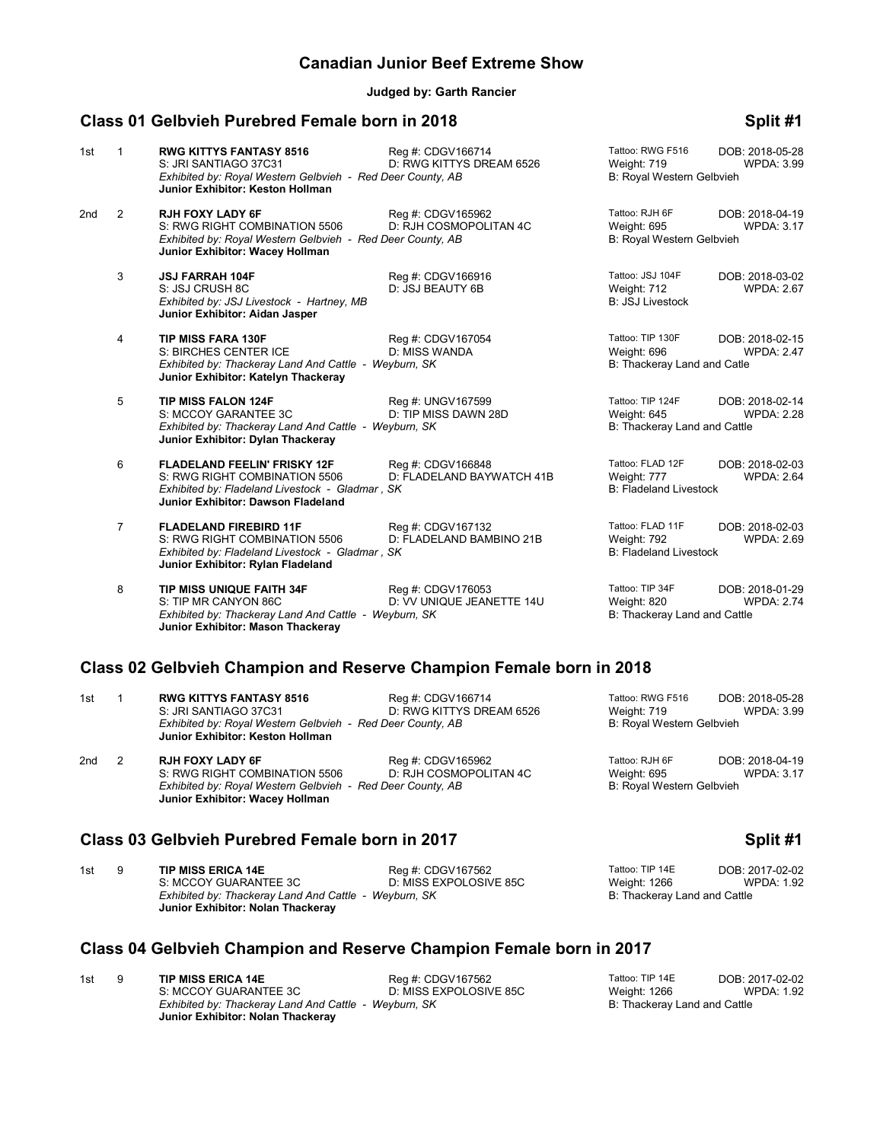## **Canadian Junior Beef Extreme Show**

**Judged by: Garth Rancier**

## **Class 01 Gelbvieh Purebred Female born in 2018 Split #1 Split #1**

| 1st             | 1              | <b>RWG KITTYS FANTASY 8516</b><br>S: JRI SANTIAGO 37C31<br>Exhibited by: Royal Western Gelbvieh - Red Deer County, AB<br>Junior Exhibitor: Keston Hollman     | Reg #: CDGV166714<br>D: RWG KITTYS DREAM 6526  | Tattoo: RWG F516<br>Weight: 719<br>B: Royal Western Gelbvieh     | DOB: 2018-05-28<br><b>WPDA: 3.99</b> |
|-----------------|----------------|---------------------------------------------------------------------------------------------------------------------------------------------------------------|------------------------------------------------|------------------------------------------------------------------|--------------------------------------|
| 2 <sub>nd</sub> | 2              | <b>RJH FOXY LADY 6F</b><br>S: RWG RIGHT COMBINATION 5506<br>Exhibited by: Royal Western Gelbvieh - Red Deer County, AB<br>Junior Exhibitor: Wacey Hollman     | Reg #: CDGV165962<br>D: RJH COSMOPOLITAN 4C    | Tattoo: RJH 6F<br>Weight: 695<br>B: Royal Western Gelbvieh       | DOB: 2018-04-19<br><b>WPDA: 3.17</b> |
|                 | 3              | <b>JSJ FARRAH 104F</b><br>S: JSJ CRUSH 8C<br>Exhibited by: JSJ Livestock - Hartney, MB<br>Junior Exhibitor: Aidan Jasper                                      | Reg #: CDGV166916<br>D: JSJ BEAUTY 6B          | Tattoo: JSJ 104F<br>Weight: 712<br><b>B: JSJ Livestock</b>       | DOB: 2018-03-02<br><b>WPDA: 2.67</b> |
|                 | 4              | <b>TIP MISS FARA 130F</b><br>S: BIRCHES CENTER ICE<br>Exhibited by: Thackeray Land And Cattle - Weyburn, SK<br>Junior Exhibitor: Katelyn Thackeray            | Req #: CDGV167054<br>D: MISS WANDA             | Tattoo: TIP 130F<br>Weight: 696<br>B: Thackeray Land and Catle   | DOB: 2018-02-15<br><b>WPDA: 2.47</b> |
|                 | 5              | <b>TIP MISS FALON 124F</b><br>S: MCCOY GARANTEE 3C<br>Exhibited by: Thackeray Land And Cattle - Weyburn, SK<br>Junior Exhibitor: Dylan Thackeray              | Reg #: UNGV167599<br>D: TIP MISS DAWN 28D      | Tattoo: TIP 124F<br>Weight: 645<br>B: Thackeray Land and Cattle  | DOB: 2018-02-14<br><b>WPDA: 2.28</b> |
|                 | 6              | <b>FLADELAND FEELIN' FRISKY 12F</b><br>S: RWG RIGHT COMBINATION 5506<br>Exhibited by: Fladeland Livestock - Gladmar, SK<br>Junior Exhibitor: Dawson Fladeland | Reg #: CDGV166848<br>D: FLADELAND BAYWATCH 41B | Tattoo: FLAD 12F<br>Weight: 777<br><b>B: Fladeland Livestock</b> | DOB: 2018-02-03<br><b>WPDA: 2.64</b> |
|                 | $\overline{7}$ | <b>FLADELAND FIREBIRD 11F</b><br>S: RWG RIGHT COMBINATION 5506<br>Exhibited by: Fladeland Livestock - Gladmar, SK<br>Junior Exhibitor: Rylan Fladeland        | Reg #: CDGV167132<br>D: FLADELAND BAMBINO 21B  | Tattoo: FLAD 11F<br>Weight: 792<br><b>B: Fladeland Livestock</b> | DOB: 2018-02-03<br>WPDA: 2.69        |
|                 | 8              | <b>TIP MISS UNIQUE FAITH 34F</b><br>S: TIP MR CANYON 86C<br>Exhibited by: Thackeray Land And Cattle - Weyburn, SK<br>Junior Exhibitor: Mason Thackeray        | Reg #: CDGV176053<br>D: VV UNIQUE JEANETTE 14U | Tattoo: TIP 34F<br>Weight: 820<br>B: Thackeray Land and Cattle   | DOB: 2018-01-29<br><b>WPDA: 2.74</b> |

## **Class 02 Gelbvieh Champion and Reserve Champion Female born in 2018**

| 1st              | <b>RWG KITTYS FANTASY 8516</b><br>S: JRI SANTIAGO 37C31<br>Exhibited by: Royal Western Gelbvieh - Red Deer County, AB<br>Junior Exhibitor: Keston Hollman | Reg #: CDGV166714<br>D: RWG KITTYS DREAM 6526 | Tattoo: RWG F516<br>Weight: 719<br>B: Royal Western Gelbvieh | DOB: 2018-05-28<br>WPDA: 3.99 |
|------------------|-----------------------------------------------------------------------------------------------------------------------------------------------------------|-----------------------------------------------|--------------------------------------------------------------|-------------------------------|
| 2nd <sub>2</sub> | <b>RJH FOXY LADY 6F</b><br>S: RWG RIGHT COMBINATION 5506<br>Exhibited by: Royal Western Gelbvieh - Red Deer County, AB<br>Junior Exhibitor: Wacey Hollman | Reg #: CDGV165962<br>D: RJH COSMOPOLITAN 4C   | Tattoo: RJH 6F<br>Weight: 695<br>B: Royal Western Gelbvieh   | DOB: 2018-04-19<br>WPDA: 3.17 |

### **Class 03 Gelbvieh Purebred Female born in 2017 Split #1 Split #1**

1st 9 **TIP MISS ERICA 14E** Reg #: CDGV167562 Tattoo: TIP 14E DOB: 2017-02-02<br>1.92 S: MCCOY GUARANTEE 3C D: MISS EXPOLOSIVE 85C Weight: 1266 WPDA: 1.92 D: MISS EXPOLOSIVE 85C Weight: 1266 Weight: D: MISS EXPOLOSIVE 85C WEDA: Neight: 1266 Exhibited by: Thackeray Land And Cattle - Weyburn, SK **Billion Cattle State Cattle And Cattle** B: Thackeray Land and Cattle **Junior Exhibitor: Nolan Thackeray**

# **Class 04 Gelbvieh Champion and Reserve Champion Female born in 2017**

| 1st | 9 | <b>TIP MISS ERICA 14E</b>                             | Reg #: CDGV167562      | Tattoo: TIP 14E              | DOB: 2017-02-02 |
|-----|---|-------------------------------------------------------|------------------------|------------------------------|-----------------|
|     |   | S: MCCOY GUARANTEE 3C                                 | D: MISS EXPOLOSIVE 85C | Weight: 1266                 | WPDA: 1.92      |
|     |   | Exhibited by: Thackeray Land And Cattle - Weyburn, SK |                        | B: Thackeray Land and Cattle |                 |
|     |   | Junior Exhibitor: Nolan Thackeray                     |                        |                              |                 |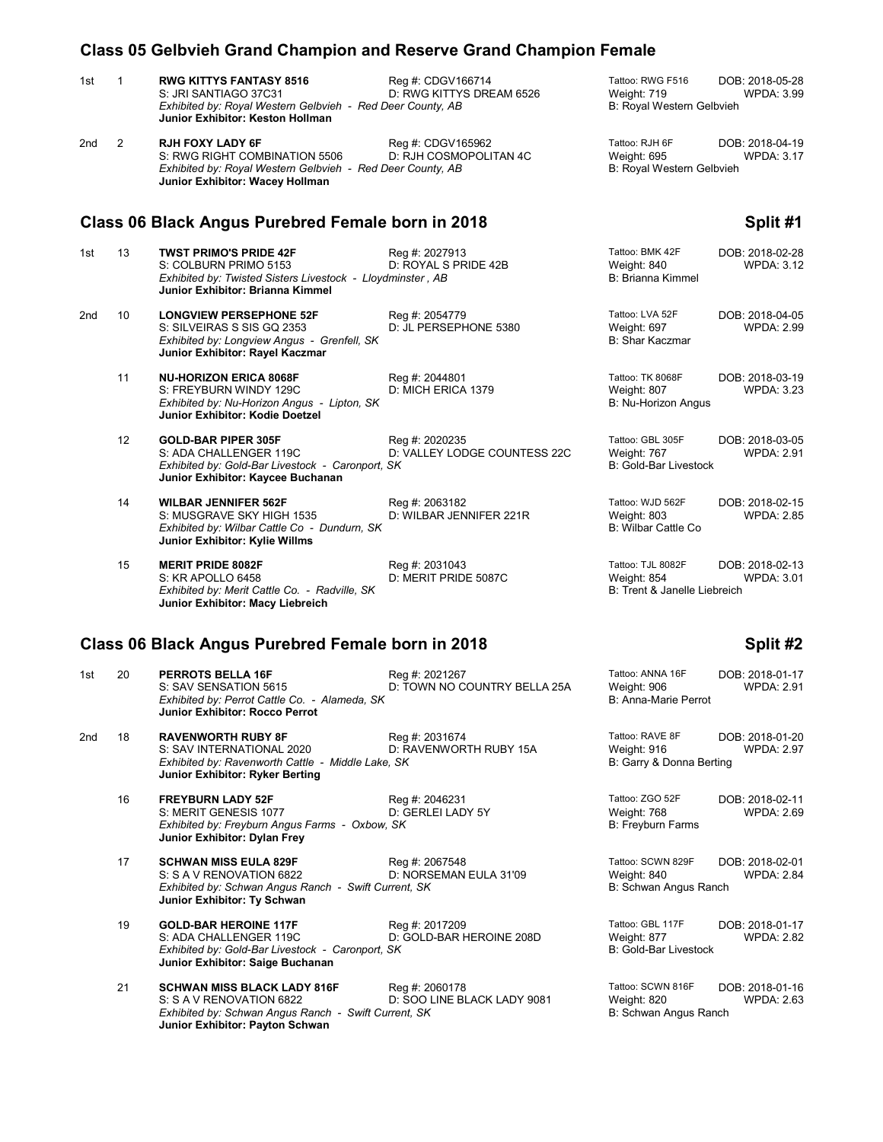|     |              | <b>Class 05 Gelbvieh Grand Champion and Reserve Grand Champion Female</b>                                                                                 |                                                |                                                                  |                                      |
|-----|--------------|-----------------------------------------------------------------------------------------------------------------------------------------------------------|------------------------------------------------|------------------------------------------------------------------|--------------------------------------|
| 1st | $\mathbf{1}$ | <b>RWG KITTYS FANTASY 8516</b><br>S: JRI SANTIAGO 37C31<br>Exhibited by: Royal Western Gelbvieh - Red Deer County, AB<br>Junior Exhibitor: Keston Hollman | Reg #: CDGV166714<br>D: RWG KITTYS DREAM 6526  | Tattoo: RWG F516<br>Weight: 719<br>B: Royal Western Gelbvieh     | DOB: 2018-05-28<br>WPDA: 3.99        |
| 2nd | 2            | <b>RJH FOXY LADY 6F</b><br>S: RWG RIGHT COMBINATION 5506<br>Exhibited by: Royal Western Gelbvieh - Red Deer County, AB<br>Junior Exhibitor: Wacey Hollman | Reg #: CDGV165962<br>D: RJH COSMOPOLITAN 4C    | Tattoo: RJH 6F<br>Weight: 695<br>B: Royal Western Gelbvieh       | DOB: 2018-04-19<br>WPDA: 3.17        |
|     |              | Class 06 Black Angus Purebred Female born in 2018                                                                                                         |                                                |                                                                  | Split #1                             |
| 1st | 13           | <b>TWST PRIMO'S PRIDE 42F</b><br>S: COLBURN PRIMO 5153<br>Exhibited by: Twisted Sisters Livestock - Lloydminster, AB<br>Junior Exhibitor: Brianna Kimmel  | Reg #: 2027913<br>D: ROYAL S PRIDE 42B         | Tattoo: BMK 42F<br>Weight: 840<br>B: Brianna Kimmel              | DOB: 2018-02-28<br><b>WPDA: 3.12</b> |
| 2nd | 10           | <b>LONGVIEW PERSEPHONE 52F</b><br>S: SILVEIRAS S SIS GQ 2353<br>Exhibited by: Longview Angus - Grenfell, SK<br>Junior Exhibitor: Rayel Kaczmar            | Reg #: 2054779<br>D: JL PERSEPHONE 5380        | Tattoo: LVA 52F<br>Weight: 697<br>B: Shar Kaczmar                | DOB: 2018-04-05<br><b>WPDA: 2.99</b> |
|     | 11           | <b>NU-HORIZON ERICA 8068F</b><br>S: FREYBURN WINDY 129C<br>Exhibited by: Nu-Horizon Angus - Lipton, SK<br>Junior Exhibitor: Kodie Doetzel                 | Reg #: 2044801<br>D: MICH ERICA 1379           | Tattoo: TK 8068F<br>Weight: 807<br>B: Nu-Horizon Angus           | DOB: 2018-03-19<br><b>WPDA: 3.23</b> |
|     | 12           | <b>GOLD-BAR PIPER 305F</b><br>S: ADA CHALLENGER 119C<br>Exhibited by: Gold-Bar Livestock - Caronport, SK<br>Junior Exhibitor: Kaycee Buchanan             | Reg #: 2020235<br>D: VALLEY LODGE COUNTESS 22C | Tattoo: GBL 305F<br>Weight: 767<br><b>B: Gold-Bar Livestock</b>  | DOB: 2018-03-05<br><b>WPDA: 2.91</b> |
|     | 14           | <b>WILBAR JENNIFER 562F</b><br>S: MUSGRAVE SKY HIGH 1535<br>Exhibited by: Wilbar Cattle Co - Dundurn, SK<br>Junior Exhibitor: Kylie Willms                | Reg #: 2063182<br>D: WILBAR JENNIFER 221R      | Tattoo: WJD 562F<br>Weight: 803<br>B: Wilbar Cattle Co           | DOB: 2018-02-15<br><b>WPDA: 2.85</b> |
|     | 15           | <b>MERIT PRIDE 8082F</b><br>S: KR APOLLO 6458<br>Exhibited by: Merit Cattle Co. - Radville, SK<br>Junior Exhibitor: Macy Liebreich                        | Reg #: 2031043<br>D: MERIT PRIDE 5087C         | Tattoo: TJL 8082F<br>Weight: 854<br>B: Trent & Janelle Liebreich | DOB: 2018-02-13<br>WPDA: 3.01        |
|     |              | Class 06 Black Angus Purebred Female born in 2018                                                                                                         |                                                |                                                                  | Split #2                             |
| 1st | 20           | PERROTS BELLA 16F<br>S: SAV SENSATION 5615<br>Exhibited by: Perrot Cattle Co. - Alameda, SK<br><b>Junior Exhibitor: Rocco Perrot</b>                      | Reg #: 2021267<br>D: TOWN NO COUNTRY BELLA 25A | Tattoo: ANNA 16F<br>Weight: 906<br>B: Anna-Marie Perrot          | DOB: 2018-01-17<br><b>WPDA: 2.91</b> |
| 2nd | 18           | <b>RAVENWORTH RUBY 8F</b><br>S: SAV INTERNATIONAL 2020<br>Exhibited by: Ravenworth Cattle - Middle Lake, SK<br>Junior Exhibitor: Ryker Berting            | Reg #: 2031674<br>D: RAVENWORTH RUBY 15A       | Tattoo: RAVE 8F<br>Weight: 916<br>B: Garry & Donna Berting       | DOB: 2018-01-20<br><b>WPDA: 2.97</b> |
|     | 16           | <b>FREYBURN LADY 52F</b><br>S: MERIT GENESIS 1077<br>Exhibited by: Freyburn Angus Farms - Oxbow, SK<br>Junior Exhibitor: Dylan Frey                       | Reg #: 2046231<br>D: GERLEI LADY 5Y            | Tattoo: ZGO 52F<br>Weight: 768<br>B: Freyburn Farms              | DOB: 2018-02-11<br><b>WPDA: 2.69</b> |
|     | 17           | <b>SCHWAN MISS EULA 829F</b><br>S: S A V RENOVATION 6822<br>Exhibited by: Schwan Angus Ranch - Swift Current, SK<br>Junior Exhibitor: Ty Schwan           | Reg #: 2067548<br>D: NORSEMAN EULA 31'09       | Tattoo: SCWN 829F<br>Weight: 840<br>B: Schwan Angus Ranch        | DOB: 2018-02-01<br>WPDA: 2.84        |
|     | 19           | <b>GOLD-BAR HEROINE 117F</b><br>S: ADA CHALLENGER 119C<br>Exhibited by: Gold-Bar Livestock - Caronport, SK<br>Junior Exhibitor: Saige Buchanan            | Reg #: 2017209<br>D: GOLD-BAR HEROINE 208D     | Tattoo: GBL 117F<br>Weight: 877<br>B: Gold-Bar Livestock         | DOB: 2018-01-17<br><b>WPDA: 2.82</b> |
|     | 21           | <b>SCHWAN MISS BLACK LADY 816F</b><br>S: S A V RENOVATION 6822<br>Exhibited by: Schwan Angus Ranch - Swift Current, SK<br>Junior Exhibitor: Payton Schwan | Reg #: 2060178<br>D: SOO LINE BLACK LADY 9081  | Tattoo: SCWN 816F<br>Weight: 820<br>B: Schwan Angus Ranch        | DOB: 2018-01-16<br>WPDA: 2.63        |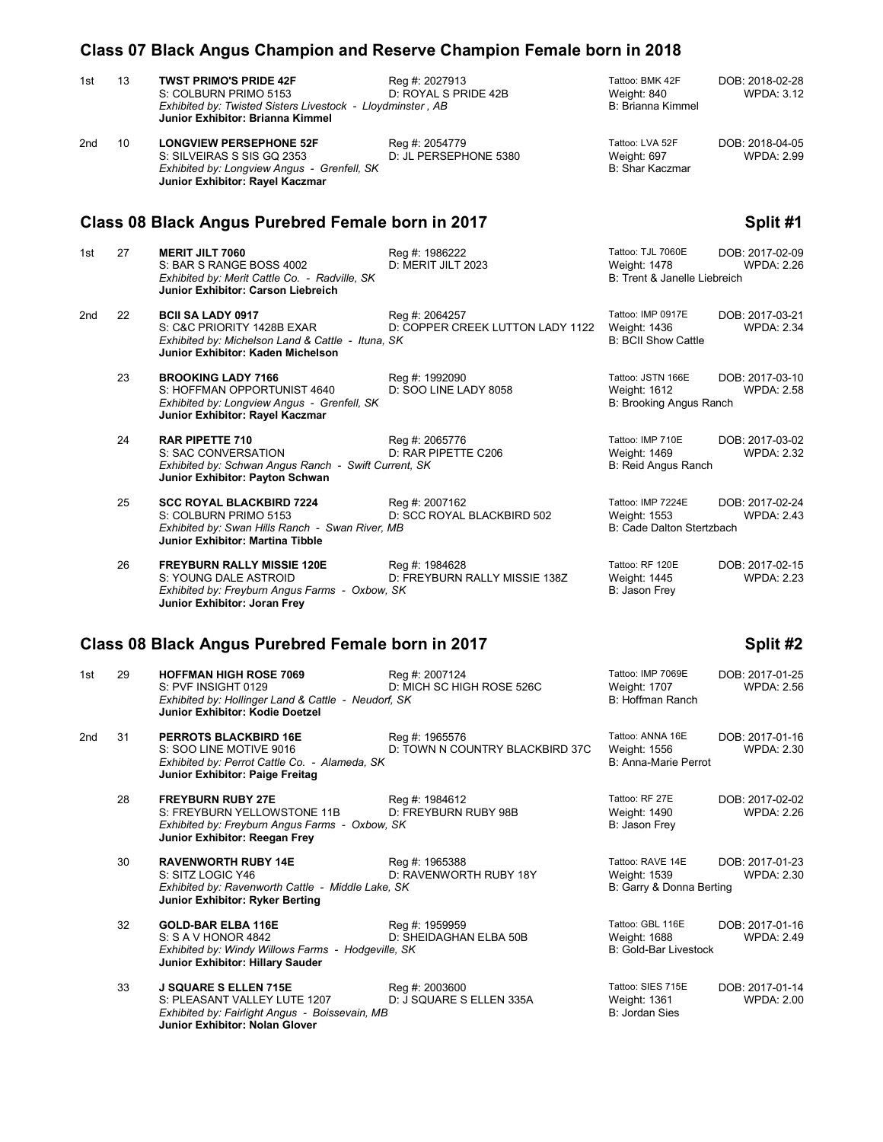|     |    | Class 07 Black Angus Champion and Reserve Champion Female born in 2018                                                                                   |                                                    |                                                                   |                                      |
|-----|----|----------------------------------------------------------------------------------------------------------------------------------------------------------|----------------------------------------------------|-------------------------------------------------------------------|--------------------------------------|
| 1st | 13 | <b>TWST PRIMO'S PRIDE 42F</b><br>S: COLBURN PRIMO 5153<br>Exhibited by: Twisted Sisters Livestock - Lloydminster, AB<br>Junior Exhibitor: Brianna Kimmel | Reg #: 2027913<br>D: ROYAL S PRIDE 42B             | Tattoo: BMK 42F<br>Weight: 840<br>B: Brianna Kimmel               | DOB: 2018-02-28<br>WPDA: 3.12        |
| 2nd | 10 | <b>LONGVIEW PERSEPHONE 52F</b><br>S: SILVEIRAS S SIS GQ 2353<br>Exhibited by: Longview Angus - Grenfell, SK<br>Junior Exhibitor: Rayel Kaczmar           | Reg #: 2054779<br>D: JL PERSEPHONE 5380            | Tattoo: LVA 52F<br>Weight: 697<br>B: Shar Kaczmar                 | DOB: 2018-04-05<br>WPDA: 2.99        |
|     |    | Class 08 Black Angus Purebred Female born in 2017                                                                                                        |                                                    |                                                                   | Split #1                             |
| 1st | 27 | <b>MERIT JILT 7060</b><br>S: BAR S RANGE BOSS 4002<br>Exhibited by: Merit Cattle Co. - Radville, SK<br>Junior Exhibitor: Carson Liebreich                | Reg #: 1986222<br>D: MERIT JILT 2023               | Tattoo: TJL 7060E<br>Weight: 1478<br>B: Trent & Janelle Liebreich | DOB: 2017-02-09<br><b>WPDA: 2.26</b> |
| 2nd | 22 | <b>BCII SA LADY 0917</b><br>S: C&C PRIORITY 1428B EXAR<br>Exhibited by: Michelson Land & Cattle - Ituna, SK<br>Junior Exhibitor: Kaden Michelson         | Reg #: 2064257<br>D: COPPER CREEK LUTTON LADY 1122 | Tattoo: IMP 0917E<br>Weight: 1436<br><b>B: BCII Show Cattle</b>   | DOB: 2017-03-21<br><b>WPDA: 2.34</b> |
|     | 23 | <b>BROOKING LADY 7166</b><br>S: HOFFMAN OPPORTUNIST 4640<br>Exhibited by: Longview Angus - Grenfell, SK<br>Junior Exhibitor: Rayel Kaczmar               | Reg #: 1992090<br>D: SOO LINE LADY 8058            | Tattoo: JSTN 166E<br>Weight: 1612<br>B: Brooking Angus Ranch      | DOB: 2017-03-10<br><b>WPDA: 2.58</b> |
|     | 24 | <b>RAR PIPETTE 710</b><br>S: SAC CONVERSATION<br>Exhibited by: Schwan Angus Ranch - Swift Current, SK<br>Junior Exhibitor: Payton Schwan                 | Reg #: 2065776<br>D: RAR PIPETTE C206              | Tattoo: IMP 710E<br>Weight: 1469<br>B: Reid Angus Ranch           | DOB: 2017-03-02<br><b>WPDA: 2.32</b> |
|     | 25 | <b>SCC ROYAL BLACKBIRD 7224</b><br>S: COLBURN PRIMO 5153<br>Exhibited by: Swan Hills Ranch - Swan River, MB<br>Junior Exhibitor: Martina Tibble          | Reg #: 2007162<br>D: SCC ROYAL BLACKBIRD 502       | Tattoo: IMP 7224E<br>Weight: 1553<br>B: Cade Dalton Stertzbach    | DOB: 2017-02-24<br><b>WPDA: 2.43</b> |
|     | 26 | <b>FREYBURN RALLY MISSIE 120E</b><br>S: YOUNG DALE ASTROID<br>Exhibited by: Freyburn Angus Farms - Oxbow, SK<br>Junior Exhibitor: Joran Frey             | Reg #: 1984628<br>D: FREYBURN RALLY MISSIE 138Z    | Tattoo: RF 120E<br>Weight: 1445<br>B: Jason Frey                  | DOB: 2017-02-15<br>WPDA: 2.23        |
|     |    | Class 08 Black Angus Purebred Female born in 2017                                                                                                        |                                                    |                                                                   | Split #2                             |
| 1st | 29 | <b>HOFFMAN HIGH ROSE 7069</b><br>S: PVF INSIGHT 0129<br>Exhibited by: Hollinger Land & Cattle - Neudorf, SK<br>Junior Exhibitor: Kodie Doetzel           | Reg #: 2007124<br>D: MICH SC HIGH ROSE 526C        | Tattoo: IMP 7069E<br>Weight: 1707<br>B: Hoffman Ranch             | DOB: 2017-01-25<br><b>WPDA: 2.56</b> |
| 2nd | 31 | <b>PERROTS BLACKBIRD 16E</b><br>S: SOO LINE MOTIVE 9016<br>Exhibited by: Perrot Cattle Co. - Alameda, SK<br>Junior Exhibitor: Paige Freitag              | Reg #: 1965576<br>D: TOWN N COUNTRY BLACKBIRD 37C  | Tattoo: ANNA 16E<br>Weight: 1556<br>B: Anna-Marie Perrot          | DOB: 2017-01-16<br><b>WPDA: 2.30</b> |
|     | 28 | <b>FREYBURN RUBY 27E</b><br>S: FREYBURN YELLOWSTONE 11B<br>Exhibited by: Freyburn Angus Farms - Oxbow, SK<br>Junior Exhibitor: Reegan Frey               | Reg #: 1984612<br>D: FREYBURN RUBY 98B             | Tattoo: RF 27E<br>Weight: 1490<br>B: Jason Frey                   | DOB: 2017-02-02<br><b>WPDA: 2.26</b> |
|     | 30 | <b>RAVENWORTH RUBY 14E</b><br>S: SITZ LOGIC Y46<br>Exhibited by: Ravenworth Cattle - Middle Lake, SK<br>Junior Exhibitor: Ryker Berting                  | Reg #: 1965388<br>D: RAVENWORTH RUBY 18Y           | Tattoo: RAVE 14E<br>Weight: 1539<br>B: Garry & Donna Berting      | DOB: 2017-01-23<br><b>WPDA: 2.30</b> |
|     | 32 | <b>GOLD-BAR ELBA 116E</b><br>S: S A V HONOR 4842<br>Exhibited by: Windy Willows Farms - Hodgeville, SK<br>Junior Exhibitor: Hillary Sauder               | Reg #: 1959959<br>D: SHEIDAGHAN ELBA 50B           | Tattoo: GBL 116E<br>Weight: 1688<br><b>B: Gold-Bar Livestock</b>  | DOB: 2017-01-16<br><b>WPDA: 2.49</b> |
|     | 33 | <b>J SQUARE S ELLEN 715E</b><br>S: PLEASANT VALLEY LUTE 1207<br>Exhibited by: Fairlight Angus - Boissevain, MB<br>Junior Exhibitor: Nolan Glover         | Reg #: 2003600<br>D: J SQUARE S ELLEN 335A         | Tattoo: SIES 715E<br>Weight: 1361<br>B: Jordan Sies               | DOB: 2017-01-14<br><b>WPDA: 2.00</b> |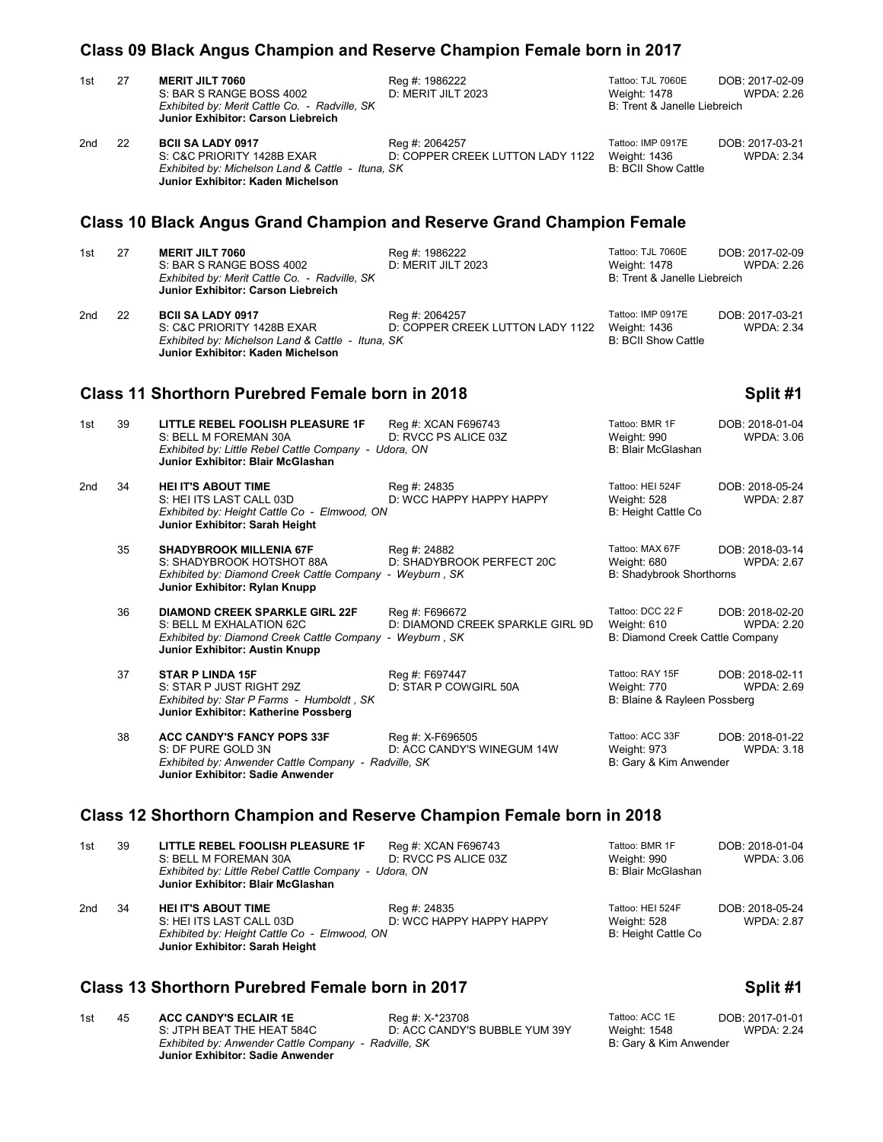|                                                                      | Class 09 Black Angus Champion and Reserve Champion Female born in 2017 |                                                                                                                                                                 |                                                    |                                                                           |                                      |  |  |
|----------------------------------------------------------------------|------------------------------------------------------------------------|-----------------------------------------------------------------------------------------------------------------------------------------------------------------|----------------------------------------------------|---------------------------------------------------------------------------|--------------------------------------|--|--|
| 1st                                                                  | 27                                                                     | <b>MERIT JILT 7060</b><br>S: BAR S RANGE BOSS 4002<br>Exhibited by: Merit Cattle Co. - Radville, SK<br>Junior Exhibitor: Carson Liebreich                       | Reg #: 1986222<br>D: MERIT JILT 2023               | Tattoo: TJL 7060E<br>Weight: 1478<br>B: Trent & Janelle Liebreich         | DOB: 2017-02-09<br><b>WPDA: 2.26</b> |  |  |
| 2nd                                                                  | 22                                                                     | <b>BCII SA LADY 0917</b><br>S: C&C PRIORITY 1428B EXAR<br>Exhibited by: Michelson Land & Cattle - Ituna, SK<br>Junior Exhibitor: Kaden Michelson                | Reg #: 2064257<br>D: COPPER CREEK LUTTON LADY 1122 | Tattoo: IMP 0917E<br>Weight: 1436<br><b>B: BCII Show Cattle</b>           | DOB: 2017-03-21<br><b>WPDA: 2.34</b> |  |  |
|                                                                      |                                                                        | <b>Class 10 Black Angus Grand Champion and Reserve Grand Champion Female</b>                                                                                    |                                                    |                                                                           |                                      |  |  |
| 1st                                                                  | 27                                                                     | <b>MERIT JILT 7060</b><br>S: BAR S RANGE BOSS 4002<br>Exhibited by: Merit Cattle Co. - Radville, SK<br>Junior Exhibitor: Carson Liebreich                       | Reg #: 1986222<br>D: MERIT JILT 2023               | Tattoo: TJL 7060E<br>Weight: 1478<br>B: Trent & Janelle Liebreich         | DOB: 2017-02-09<br>WPDA: 2.26        |  |  |
| 2nd                                                                  | 22                                                                     | <b>BCII SA LADY 0917</b><br>S: C&C PRIORITY 1428B EXAR<br>Exhibited by: Michelson Land & Cattle - Ituna, SK<br>Junior Exhibitor: Kaden Michelson                | Reg #: 2064257<br>D: COPPER CREEK LUTTON LADY 1122 | Tattoo: IMP 0917E<br>Weight: 1436<br><b>B: BCII Show Cattle</b>           | DOB: 2017-03-21<br><b>WPDA: 2.34</b> |  |  |
|                                                                      |                                                                        | <b>Class 11 Shorthorn Purebred Female born in 2018</b>                                                                                                          |                                                    |                                                                           | Split #1                             |  |  |
| 1st                                                                  | 39                                                                     | <b>LITTLE REBEL FOOLISH PLEASURE 1F</b><br>S: BELL M FOREMAN 30A<br>Exhibited by: Little Rebel Cattle Company - Udora, ON<br>Junior Exhibitor: Blair McGlashan  | Reg #: XCAN F696743<br>D: RVCC PS ALICE 03Z        | Tattoo: BMR 1F<br>Weight: 990<br>B: Blair McGlashan                       | DOB: 2018-01-04<br><b>WPDA: 3.06</b> |  |  |
| 2nd                                                                  | 34                                                                     | <b>HEI IT'S ABOUT TIME</b><br>S: HEI ITS LAST CALL 03D<br>Exhibited by: Height Cattle Co - Elmwood, ON<br>Junior Exhibitor: Sarah Height                        | Reg #: 24835<br>D: WCC HAPPY HAPPY HAPPY           | Tattoo: HEI 524F<br>Weight: 528<br>B: Height Cattle Co                    | DOB: 2018-05-24<br><b>WPDA: 2.87</b> |  |  |
|                                                                      | 35                                                                     | <b>SHADYBROOK MILLENIA 67F</b><br>S: SHADYBROOK HOTSHOT 88A<br>Exhibited by: Diamond Creek Cattle Company - Weyburn, SK<br>Junior Exhibitor: Rylan Knupp        | Reg #: 24882<br>D: SHADYBROOK PERFECT 20C          | Tattoo: MAX 67F<br>Weight: 680<br><b>B: Shadybrook Shorthorns</b>         | DOB: 2018-03-14<br><b>WPDA: 2.67</b> |  |  |
|                                                                      | 36                                                                     | <b>DIAMOND CREEK SPARKLE GIRL 22F</b><br>S: BELL M EXHALATION 62C<br>Exhibited by: Diamond Creek Cattle Company - Weyburn, SK<br>Junior Exhibitor: Austin Knupp | Reg #: F696672<br>D: DIAMOND CREEK SPARKLE GIRL 9D | Tattoo: DCC 22 F<br>Weight: 610<br>B: Diamond Creek Cattle Company        | DOB: 2018-02-20<br><b>WPDA: 2.20</b> |  |  |
|                                                                      | 37                                                                     | <b>STAR P LINDA 15F</b><br>S: STAR P JUST RIGHT 29Z<br>Exhibited by: Star P Farms - Humboldt, SK<br>Junior Exhibitor: Katherine Possberg                        | Reg #: F697447<br>D: STAR P COWGIRL 50A            | Tattoo: RAY 15F<br>Weight: 770 WPDA: 2.69<br>B: Blaine & Rayleen Possberg | DOB: 2018-02-11                      |  |  |
|                                                                      | 38                                                                     | <b>ACC CANDY'S FANCY POPS 33F</b><br>S: DF PURE GOLD 3N<br>Exhibited by: Anwender Cattle Company - Radville, SK<br>Junior Exhibitor: Sadie Anwender             | Reg #: X-F696505<br>D: ACC CANDY'S WINEGUM 14W     | Tattoo: ACC 33F<br>Weight: 973<br>B: Gary & Kim Anwender                  | DOB: 2018-01-22<br><b>WPDA: 3.18</b> |  |  |
| Class 12 Shorthorn Champion and Reserve Champion Female born in 2018 |                                                                        |                                                                                                                                                                 |                                                    |                                                                           |                                      |  |  |

| 1st | 39 | LITTLE REBEL FOOLISH PLEASURE 1F<br>S: BELL M FOREMAN 30A<br>Exhibited by: Little Rebel Cattle Company -<br>Junior Exhibitor: Blair McGlashan | Reg #: XCAN F696743<br>D: RVCC PS ALICE 03Z<br>Udora, ON | Tattoo: BMR 1F<br>Weight: 990<br>B: Blair McGlashan    | DOB: 2018-01-04<br>WPDA: 3.06        |
|-----|----|-----------------------------------------------------------------------------------------------------------------------------------------------|----------------------------------------------------------|--------------------------------------------------------|--------------------------------------|
| 2nd | 34 | <b>HEI IT'S ABOUT TIME</b><br>S: HEI ITS LAST CALL 03D<br>Exhibited by: Height Cattle Co - Elmwood, ON<br>Junior Exhibitor: Sarah Height      | Reg #: 24835<br>D: WCC HAPPY HAPPY HAPPY                 | Tattoo: HEI 524F<br>Weight: 528<br>B: Height Cattle Co | DOB: 2018-05-24<br><b>WPDA: 2.87</b> |

## **Class 13 Shorthorn Purebred Female born in 2017 Split #1 Split #1**

1st 45 **ACC CANDY'S ECLAIR 1E** Reg #: X-\*23708 Tattoo: ACC 1E DOB: 2017-01-01 S: JTPH BEAT THE HEAT 584C D: ACC CANDY'S BUBBLE YUM 39Y Weight: 1548 WPDA: 2.24 **ACC CANDY'S ECLAIR 1E** Reg #: X-\*23708 Tattoo: ACC 1E DO<br>S: JTPH BEAT THE HEAT 584C D: ACC CANDY'S BUBBLE YUM 39Y Weight: 1548<br>Exhibited by: Anwender Cattle Company - Radville, SK B: Gary & Kim Anwender **Junior Exhibitor: Sadie Anwender**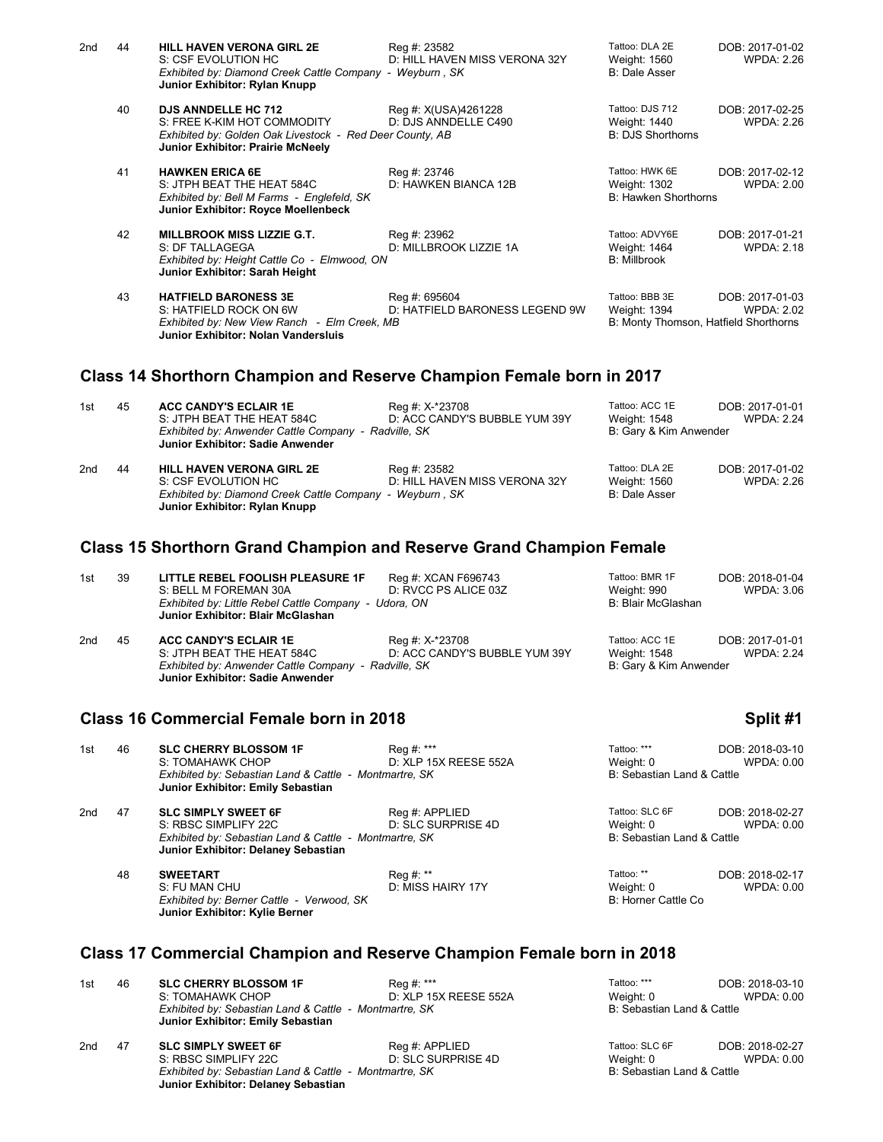| 2nd | 44 | <b>HILL HAVEN VERONA GIRL 2E</b><br>S: CSF EVOLUTION HC<br>Exhibited by: Diamond Creek Cattle Company - Weyburn, SK<br>Junior Exhibitor: Rylan Knupp       | Reg #: 23582<br>D: HILL HAVEN MISS VERONA 32Y   | Tattoo: DLA 2E<br>Weight: 1560<br><b>B: Dale Asser</b>                  | DOB: 2017-01-02<br>WPDA: 2.26        |
|-----|----|------------------------------------------------------------------------------------------------------------------------------------------------------------|-------------------------------------------------|-------------------------------------------------------------------------|--------------------------------------|
|     | 40 | <b>DJS ANNDELLE HC 712</b><br>S: FREE K-KIM HOT COMMODITY<br>Exhibited by: Golden Oak Livestock - Red Deer County, AB<br>Junior Exhibitor: Prairie McNeely | Reg #: X(USA)4261228<br>D: DJS ANNDELLE C490    | Tattoo: DJS 712<br>Weight: 1440<br><b>B: DJS Shorthorns</b>             | DOB: 2017-02-25<br><b>WPDA: 2.26</b> |
|     | 41 | <b>HAWKEN ERICA 6E</b><br>S: JTPH BEAT THE HEAT 584C<br>Exhibited by: Bell M Farms - Englefeld, SK<br>Junior Exhibitor: Royce Moellenbeck                  | Reg #: 23746<br>D: HAWKEN BIANCA 12B            | Tattoo: HWK 6E<br>Weight: 1302<br>B: Hawken Shorthorns                  | DOB: 2017-02-12<br>WPDA: 2.00        |
|     | 42 | <b>MILLBROOK MISS LIZZIE G.T.</b><br>S: DF TALLAGEGA<br>Exhibited by: Height Cattle Co - Elmwood, ON<br>Junior Exhibitor: Sarah Height                     | Reg #: 23962<br>D: MILLBROOK LIZZIE 1A          | Tattoo: ADVY6E<br>Weight: 1464<br><b>B: Millbrook</b>                   | DOB: 2017-01-21<br><b>WPDA: 2.18</b> |
|     | 43 | <b>HATFIELD BARONESS 3E</b><br>S: HATFIELD ROCK ON 6W<br>Exhibited by: New View Ranch - Elm Creek, MB<br>Junior Exhibitor: Nolan Vandersluis               | Reg #: 695604<br>D: HATFIELD BARONESS LEGEND 9W | Tattoo: BBB 3E<br>Weight: 1394<br>B: Monty Thomson, Hatfield Shorthorns | DOB: 2017-01-03<br><b>WPDA: 2.02</b> |

## **Class 14 Shorthorn Champion and Reserve Champion Female born in 2017**

| 1st | 45 | <b>ACC CANDY'S ECLAIR 1E</b><br>S: JTPH BEAT THE HEAT 584C                                                                                           | Reg #: X-*23708<br>D: ACC CANDY'S BUBBLE YUM 39Y | Tattoo: ACC 1E<br>Weight: 1548                         | DOB: 2017-01-01<br><b>WPDA: 2.24</b> |
|-----|----|------------------------------------------------------------------------------------------------------------------------------------------------------|--------------------------------------------------|--------------------------------------------------------|--------------------------------------|
|     |    | Exhibited by: Anwender Cattle Company - Radville, SK<br>Junior Exhibitor: Sadie Anwender                                                             |                                                  | B: Gary & Kim Anwender                                 |                                      |
| 2nd | 44 | <b>HILL HAVEN VERONA GIRL 2E</b><br>S: CSF EVOLUTION HC<br>Exhibited by: Diamond Creek Cattle Company - Weyburn, SK<br>Junior Exhibitor: Rylan Knupp | Reg #: 23582<br>D: HILL HAVEN MISS VERONA 32Y    | Tattoo: DLA 2E<br>Weight: 1560<br><b>B: Dale Asser</b> | DOB: 2017-01-02<br>WPDA: 2.26        |

## **Class 15 Shorthorn Grand Champion and Reserve Grand Champion Female**

| 1st | 39 | LITTLE REBEL FOOLISH PLEASURE 1F<br>S: BELL M FOREMAN 30A<br>Exhibited by: Little Rebel Cattle Company - Udora, ON<br>Junior Exhibitor: Blair McGlashan       | Reg #: XCAN F696743<br>D: RVCC PS ALICE 03Z      | Tattoo: BMR 1F<br>Weight: 990<br>B: Blair McGlashan      | DOB: 2018-01-04<br>WPDA: 3.06        |
|-----|----|---------------------------------------------------------------------------------------------------------------------------------------------------------------|--------------------------------------------------|----------------------------------------------------------|--------------------------------------|
| 2nd | 45 | <b>ACC CANDY'S ECLAIR 1E</b><br>S: JTPH BEAT THE HEAT 584C<br>Exhibited by: Anwender Cattle Company - Radville, SK<br><b>Junior Exhibitor: Sadie Anwender</b> | Reg #: X-*23708<br>D: ACC CANDY'S BUBBLE YUM 39Y | Tattoo: ACC 1E<br>Weight: 1548<br>B: Gary & Kim Anwender | DOB: 2017-01-01<br><b>WPDA: 2.24</b> |

## **Class 16 Commercial Female born in 2018 Split #1 Split #1 Split #1**

| 1st | 46 | <b>SLC CHERRY BLOSSOM 1F</b><br>S: TOMAHAWK CHOP<br>Exhibited by: Sebastian Land & Cattle - Montmartre, SK<br>Junior Exhibitor: Emily Sebastian     | Reg #: ***<br>D: XLP 15X REESE 552A  | Tattoo: ***<br>Weight: 0<br>B: Sebastian Land & Cattle    | DOB: 2018-03-10<br>WPDA: 0.00 |
|-----|----|-----------------------------------------------------------------------------------------------------------------------------------------------------|--------------------------------------|-----------------------------------------------------------|-------------------------------|
| 2nd | 47 | <b>SLC SIMPLY SWEET 6F</b><br>S: RBSC SIMPLIFY 22C<br>Exhibited by: Sebastian Land & Cattle - Montmartre, SK<br>Junior Exhibitor: Delaney Sebastian | Reg #: APPLIED<br>D: SLC SURPRISE 4D | Tattoo: SLC 6F<br>Weight: 0<br>B: Sebastian Land & Cattle | DOB: 2018-02-27<br>WPDA: 0.00 |
|     | 48 | <b>SWEETART</b><br>S: FU MAN CHU<br>Exhibited by: Berner Cattle - Verwood, SK<br>Junior Exhibitor: Kylie Berner                                     | Reg #: **<br>D: MISS HAIRY 17Y       | Tattoo: **<br>Weight: 0<br>B: Horner Cattle Co            | DOB: 2018-02-17<br>WPDA: 0.00 |

## **Class 17 Commercial Champion and Reserve Champion Female born in 2018**

| 1st | 46                                                                                            | <b>SLC CHERRY BLOSSOM 1F</b><br>S: TOMAHAWK CHOP                                            | Reg #: ***<br>D: XLP 15X REESE 552A  | Tattoo: ***<br>Weight: 0    | DOB: 2018-03-10<br>WPDA: 0.00 |
|-----|-----------------------------------------------------------------------------------------------|---------------------------------------------------------------------------------------------|--------------------------------------|-----------------------------|-------------------------------|
|     |                                                                                               | Exhibited by: Sebastian Land & Cattle - Montmartre, SK<br>Junior Exhibitor: Emily Sebastian |                                      | B: Sebastian Land & Cattle  |                               |
| 2nd | 47                                                                                            | <b>SLC SIMPLY SWEET 6F</b><br>S: RBSC SIMPLIFY 22C                                          | Reg #: APPLIED<br>D: SLC SURPRISE 4D | Tattoo: SLC 6F<br>Weight: 0 | DOB: 2018-02-27<br>WPDA: 0.00 |
|     | Exhibited by: Sebastian Land & Cattle - Montmartre, SK<br>Junior Exhibitor: Delaney Sebastian |                                                                                             |                                      | B: Sebastian Land & Cattle  |                               |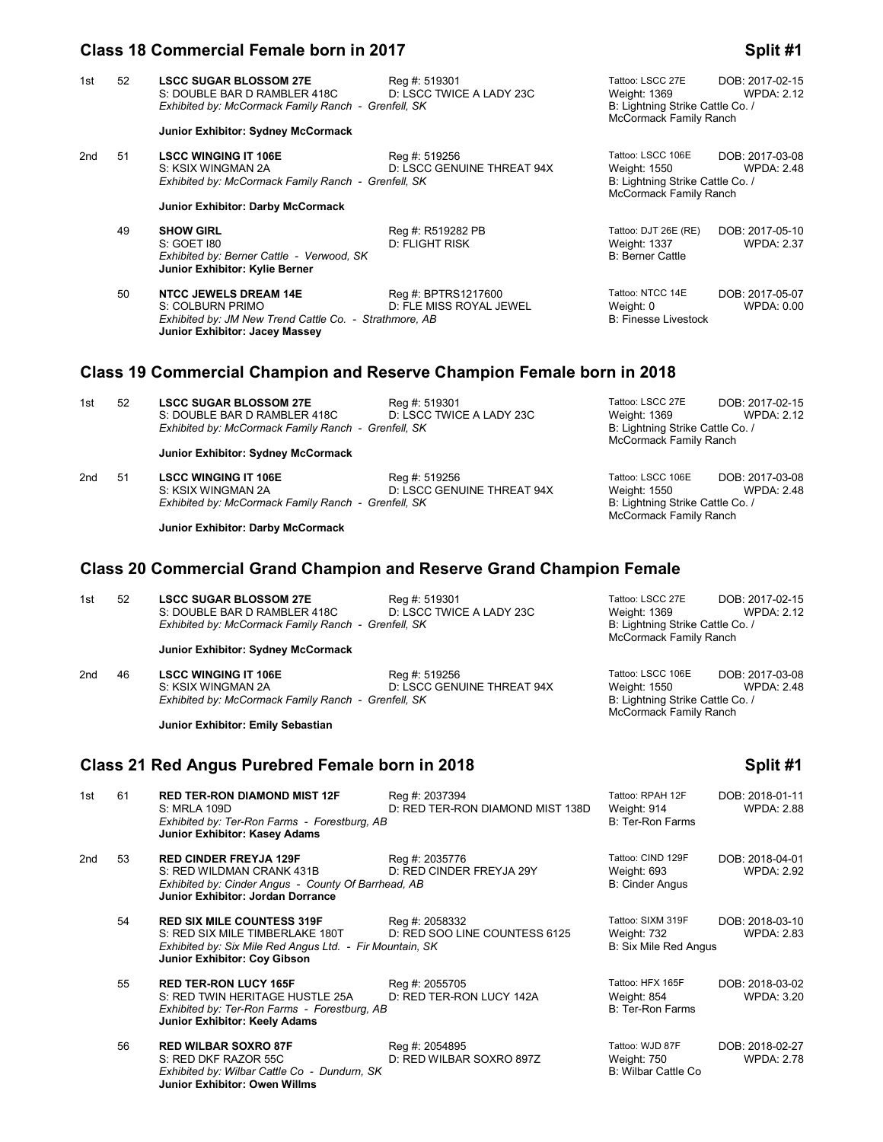## **Class 18 Commercial Female born in 2017 Split #1 Split #1 Split #1**

| 1st | 52 | <b>LSCC SUGAR BLOSSOM 27E</b><br>S: DOUBLE BAR D RAMBLER 418C<br>Exhibited by: McCormack Family Ranch - Grenfell, SK<br>Junior Exhibitor: Sydney McCormack | Reg #: 519301<br>D: LSCC TWICE A LADY 23C      | Tattoo: LSCC 27E<br>Weight: 1369<br>B: Lightning Strike Cattle Co. /<br>McCormack Family Ranch  | DOB: 2017-02-15<br><b>WPDA: 2.12</b> |
|-----|----|------------------------------------------------------------------------------------------------------------------------------------------------------------|------------------------------------------------|-------------------------------------------------------------------------------------------------|--------------------------------------|
| 2nd | 51 | <b>LSCC WINGING IT 106E</b><br>S: KSIX WINGMAN 2A<br>Exhibited by: McCormack Family Ranch - Grenfell, SK<br>Junior Exhibitor: Darby McCormack              | Reg #: 519256<br>D: LSCC GENUINE THREAT 94X    | Tattoo: LSCC 106E<br>Weight: 1550<br>B: Lightning Strike Cattle Co. /<br>McCormack Family Ranch | DOB: 2017-03-08<br><b>WPDA: 2.48</b> |
|     | 49 | <b>SHOW GIRL</b><br>S: GOET 180<br>Exhibited by: Berner Cattle - Verwood, SK<br>Junior Exhibitor: Kylie Berner                                             | Reg #: R519282 PB<br><b>D: FLIGHT RISK</b>     | Tattoo: DJT 26E (RE)<br><b>Weight: 1337</b><br><b>B: Berner Cattle</b>                          | DOB: 2017-05-10<br><b>WPDA: 2.37</b> |
|     | 50 | <b>NTCC JEWELS DREAM 14E</b><br>S: COLBURN PRIMO<br>Exhibited by: JM New Trend Cattle Co. - Strathmore, AB<br>Junior Exhibitor: Jacey Massey               | Reg #: BPTRS1217600<br>D: FLE MISS ROYAL JEWEL | Tattoo: NTCC 14E<br>Weight: 0<br><b>B: Finesse Livestock</b>                                    | DOB: 2017-05-07<br>WPDA: 0.00        |
|     |    | AI JAA ILAI IN IN AI IN PILI IAAJA                                                                                                                         |                                                |                                                                                                 |                                      |

## **Class 19 Commercial Champion and Reserve Champion Female born in 2018**

| 1st | -52 | <b>LSCC SUGAR BLOSSOM 27E</b>                       | Rea #: 519301            | Tattoo: LSCC 27E                                           | DOB: 2017-02-15   |
|-----|-----|-----------------------------------------------------|--------------------------|------------------------------------------------------------|-------------------|
|     |     | S: DOUBLE BAR D RAMBLER 418C                        | D: LSCC TWICE A LADY 23C | Weight: 1369                                               | <b>WPDA: 2.12</b> |
|     |     | Exhibited by: McCormack Family Ranch - Grenfell, SK |                          | B: Lightning Strike Cattle Co. /<br>McCormack Family Ranch |                   |
|     |     | Junior Exhibitor: Sydney McCormack                  |                          |                                                            |                   |

| 2nd | -51 | <b>LSCC WINGING IT 106E</b>                         | Rea #: 519256              | Tattoo: LSCC 106E                | DOB: 2017-03-08   |
|-----|-----|-----------------------------------------------------|----------------------------|----------------------------------|-------------------|
|     |     | S: KSIX WINGMAN 2A                                  | D: LSCC GENUINE THREAT 94X | Weight: 1550                     | <b>WPDA: 2.48</b> |
|     |     | Exhibited by: McCormack Family Ranch - Grenfell, SK |                            | B: Lightning Strike Cattle Co. / |                   |
|     |     |                                                     |                            | McCormack Family Ranch           |                   |

**Junior Exhibitor: Darby McCormack**

## **Class 20 Commercial Grand Champion and Reserve Grand Champion Female**

| 1st | -52 | <b>LSCC SUGAR BLOSSOM 27E</b>                       | Rea #: 519301            | Tattoo: LSCC 27E                 | DOB: 2017-02-15   |
|-----|-----|-----------------------------------------------------|--------------------------|----------------------------------|-------------------|
|     |     | S: DOUBLE BAR D RAMBLER 418C                        | D: LSCC TWICE A LADY 23C | Weight: 1369                     | <b>WPDA: 2.12</b> |
|     |     | Exhibited by: McCormack Family Ranch - Grenfell, SK |                          | B: Lightning Strike Cattle Co. / |                   |
|     |     |                                                     |                          | McCormack Family Ranch           |                   |
|     |     | Junior Exhibitor: Sydney McCormack                  |                          |                                  |                   |

| 2nd | 46 | <b>LSCC WINGING IT 106E</b>                         | Reg #: 519256              | Tattoo: LSCC 106E                | DOB: 2017-03-08 |
|-----|----|-----------------------------------------------------|----------------------------|----------------------------------|-----------------|
|     |    | S: KSIX WINGMAN 2A                                  | D: LSCC GENUINE THREAT 94X | Weight: 1550                     | WPDA: 2.48      |
|     |    | Exhibited by: McCormack Family Ranch - Grenfell, SK |                            | B: Lightning Strike Cattle Co. / |                 |
|     |    |                                                     |                            | McCormack Family Ranch           |                 |

**Junior Exhibitor: Emily Sebastian**

## **Class 21 Red Angus Purebred Female born in 2018 Split #1**

| 1st | 61 | <b>RED TER-RON DIAMOND MIST 12F</b><br>S: MRLA 109D<br>Exhibited by: Ter-Ron Farms - Forestburg, AB<br><b>Junior Exhibitor: Kasey Adams</b>                      | Reg #: 2037394<br>D: RED TER-RON DIAMOND MIST 138D | Tattoo: RPAH 12F<br>Weight: 914<br>B: Ter-Ron Farms        | DOB: 2018-01-11<br><b>WPDA: 2.88</b> |
|-----|----|------------------------------------------------------------------------------------------------------------------------------------------------------------------|----------------------------------------------------|------------------------------------------------------------|--------------------------------------|
| 2nd | 53 | <b>RED CINDER FREYJA 129F</b><br>S: RED WILDMAN CRANK 431B<br>Exhibited by: Cinder Angus - County Of Barrhead, AB<br><b>Junior Exhibitor: Jordan Dorrance</b>    | Reg #: 2035776<br>D: RED CINDER FREYJA 29Y         | Tattoo: CIND 129F<br>Weight: 693<br><b>B: Cinder Angus</b> | DOB: 2018-04-01<br><b>WPDA: 2.92</b> |
|     | 54 | <b>RED SIX MILE COUNTESS 319F</b><br>S: RED SIX MILE TIMBERLAKE 180T<br>Exhibited by: Six Mile Red Angus Ltd. - Fir Mountain, SK<br>Junior Exhibitor: Coy Gibson | Reg #: 2058332<br>D: RED SOO LINE COUNTESS 6125    | Tattoo: SIXM 319F<br>Weight: 732<br>B: Six Mile Red Angus  | DOB: 2018-03-10<br><b>WPDA: 2.83</b> |
|     | 55 | <b>RED TER-RON LUCY 165F</b><br>S: RED TWIN HERITAGE HUSTLE 25A<br>Exhibited by: Ter-Ron Farms - Forestburg, AB<br>Junior Exhibitor: Keely Adams                 | Reg #: 2055705<br>D: RED TER-RON LUCY 142A         | Tattoo: HFX 165F<br>Weight: 854<br>B: Ter-Ron Farms        | DOB: 2018-03-02<br>WPDA: 3.20        |
|     | 56 | <b>RED WILBAR SOXRO 87F</b><br>S: RED DKF RAZOR 55C<br>Exhibited by: Wilbar Cattle Co - Dundurn, SK<br>Junior Exhibitor: Owen Willms                             | Reg #: 2054895<br>D: RED WILBAR SOXRO 897Z         | Tattoo: WJD 87F<br>Weight: 750<br>B: Wilbar Cattle Co      | DOB: 2018-02-27<br><b>WPDA: 2.78</b> |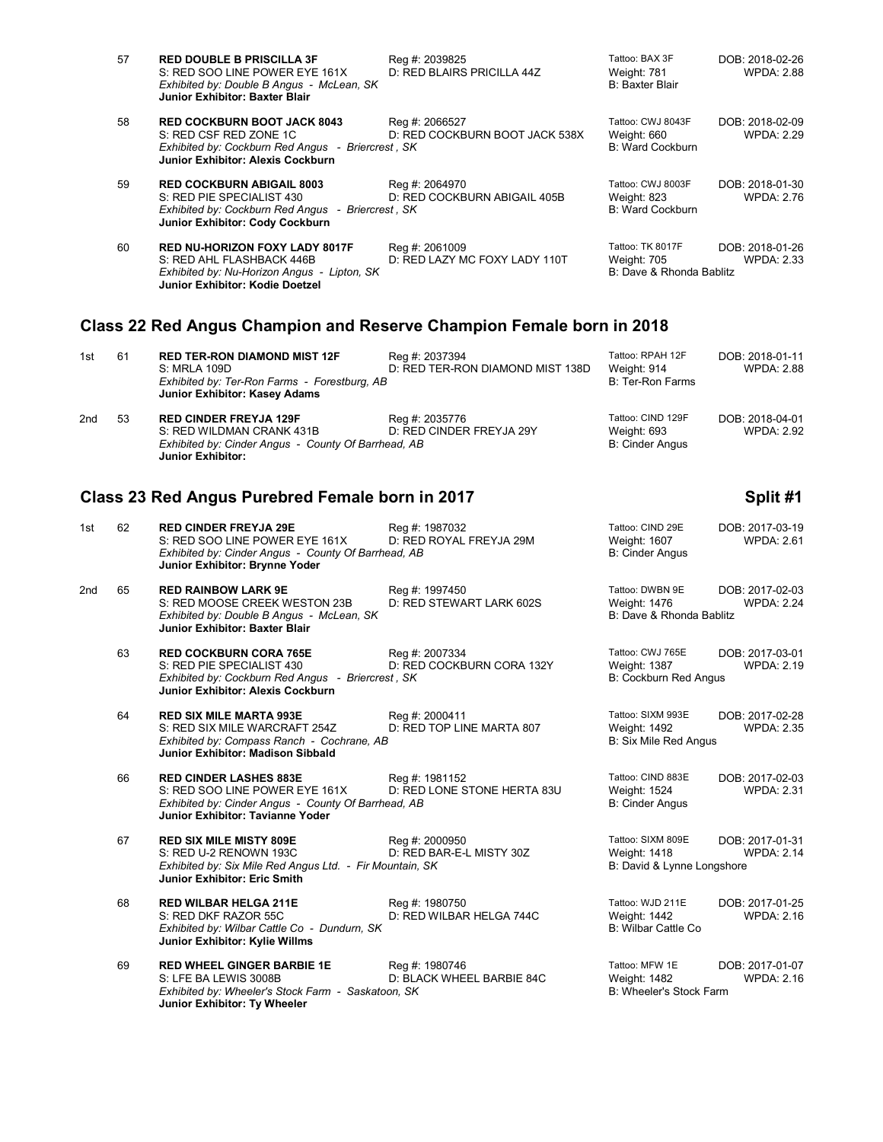| 57 | <b>RED DOUBLE B PRISCILLA 3F</b><br>S: RED SOO LINE POWER EYE 161X<br>Exhibited by: Double B Angus - McLean, SK<br><b>Junior Exhibitor: Baxter Blair</b> | Reg #: 2039825<br>D: RED BLAIRS PRICILLA 44Z     | Tattoo: BAX 3F<br>Weight: 781<br><b>B: Baxter Blair</b>     | DOB: 2018-02-26<br><b>WPDA: 2.88</b> |
|----|----------------------------------------------------------------------------------------------------------------------------------------------------------|--------------------------------------------------|-------------------------------------------------------------|--------------------------------------|
| 58 | <b>RED COCKBURN BOOT JACK 8043</b><br>S: RED CSF RED ZONE 1C<br>Exhibited by: Cockburn Red Angus - Briercrest, SK<br>Junior Exhibitor: Alexis Cockburn   | Reg #: 2066527<br>D: RED COCKBURN BOOT JACK 538X | Tattoo: CWJ 8043F<br>Weight: 660<br>B: Ward Cockburn        | DOB: 2018-02-09<br><b>WPDA: 2.29</b> |
| 59 | <b>RED COCKBURN ABIGAIL 8003</b><br>S: RED PIE SPECIALIST 430<br>Exhibited by: Cockburn Red Angus - Briercrest, SK<br>Junior Exhibitor: Cody Cockburn    | Reg #: 2064970<br>D: RED COCKBURN ABIGAIL 405B   | Tattoo: CWJ 8003F<br>Weight: 823<br><b>B: Ward Cockburn</b> | DOB: 2018-01-30<br>WPDA: 2.76        |
| 60 | <b>RED NU-HORIZON FOXY LADY 8017F</b><br>S: RED AHL FLASHBACK 446B<br>Exhibited by: Nu-Horizon Angus - Lipton, SK<br>Junior Exhibitor: Kodie Doetzel     | Reg #: 2061009<br>D: RED LAZY MC FOXY LADY 110T  | Tattoo: TK 8017F<br>Weight: 705<br>B: Dave & Rhonda Bablitz | DOB: 2018-01-26<br><b>WPDA: 2.33</b> |

## **Class 22 Red Angus Champion and Reserve Champion Female born in 2018**

| 1st | -61 | <b>RED TER-RON DIAMOND MIST 12F</b><br>S: MRLA 109D<br>Exhibited by: Ter-Ron Farms - Forestburg, AB<br>Junior Exhibitor: Kasey Adams   | Reg #: 2037394<br>D: RED TER-RON DIAMOND MIST 138D | Tattoo: RPAH 12F<br>Weight: 914<br>B: Ter-Ron Farms | DOB: 2018-01-11<br><b>WPDA: 2.88</b> |
|-----|-----|----------------------------------------------------------------------------------------------------------------------------------------|----------------------------------------------------|-----------------------------------------------------|--------------------------------------|
| 2nd | 53  | <b>RED CINDER FREYJA 129F</b><br>S: RED WILDMAN CRANK 431B<br>Exhibited by: Cinder Angus - County Of Barrhead, AB<br>Junior Exhibitor: | Reg #: 2035776<br>D: RED CINDER FREYJA 29Y         | Tattoo: CIND 129F<br>Weight: 693<br>B: Cinder Angus | DOB: 2018-04-01<br><b>WPDA: 2.92</b> |

## **Class 23 Red Angus Purebred Female born in 2017 Split #1 Split #1**

| 1st | 62 | <b>RED CINDER FREYJA 29E</b><br>S: RED SOO LINE POWER EYE 161X<br>Exhibited by: Cinder Angus - County Of Barrhead, AB<br>Junior Exhibitor: Brynne Yoder           | Reg #: 1987032<br>D: RED ROYAL FREYJA 29M     | Tattoo: CIND 29E<br>Weight: 1607<br><b>B: Cinder Angus</b>        | DOB: 2017-03-19<br><b>WPDA: 2.61</b> |
|-----|----|-------------------------------------------------------------------------------------------------------------------------------------------------------------------|-----------------------------------------------|-------------------------------------------------------------------|--------------------------------------|
| 2nd | 65 | <b>RED RAINBOW LARK 9E</b><br>S: RED MOOSE CREEK WESTON 23B<br>Exhibited by: Double B Angus - McLean, SK<br><b>Junior Exhibitor: Baxter Blair</b>                 | Reg #: 1997450<br>D: RED STEWART LARK 602S    | Tattoo: DWBN 9E<br>Weight: 1476<br>B: Dave & Rhonda Bablitz       | DOB: 2017-02-03<br><b>WPDA: 2.24</b> |
|     | 63 | <b>RED COCKBURN CORA 765E</b><br>S: RED PIE SPECIALIST 430<br>Exhibited by: Cockburn Red Angus - Briercrest, SK<br><b>Junior Exhibitor: Alexis Cockburn</b>       | Reg #: 2007334<br>D: RED COCKBURN CORA 132Y   | Tattoo: CWJ 765E<br>Weight: 1387<br><b>B: Cockburn Red Angus</b>  | DOB: 2017-03-01<br><b>WPDA: 2.19</b> |
|     | 64 | <b>RED SIX MILE MARTA 993E</b><br>S: RED SIX MILE WARCRAFT 254Z<br>Exhibited by: Compass Ranch - Cochrane, AB<br><b>Junior Exhibitor: Madison Sibbald</b>         | Reg #: 2000411<br>D: RED TOP LINE MARTA 807   | Tattoo: SIXM 993E<br>Weight: 1492<br><b>B: Six Mile Red Angus</b> | DOB: 2017-02-28<br><b>WPDA: 2.35</b> |
|     | 66 | <b>RED CINDER LASHES 883E</b><br>S: RED SOO LINE POWER EYE 161X<br>Exhibited by: Cinder Angus - County Of Barrhead, AB<br><b>Junior Exhibitor: Tavianne Yoder</b> | Reg #: 1981152<br>D: RED LONE STONE HERTA 83U | Tattoo: CIND 883E<br>Weight: 1524<br><b>B: Cinder Angus</b>       | DOB: 2017-02-03<br><b>WPDA: 2.31</b> |
|     | 67 | <b>RED SIX MILE MISTY 809E</b><br>S: RED U-2 RENOWN 193C<br>Exhibited by: Six Mile Red Angus Ltd. - Fir Mountain, SK<br><b>Junior Exhibitor: Eric Smith</b>       | Reg #: 2000950<br>D: RED BAR-E-L MISTY 30Z    | Tattoo: SIXM 809E<br>Weight: 1418<br>B: David & Lynne Longshore   | DOB: 2017-01-31<br><b>WPDA: 2.14</b> |
|     | 68 | <b>RED WILBAR HELGA 211E</b><br>S: RED DKF RAZOR 55C<br>Exhibited by: Wilbar Cattle Co - Dundurn, SK<br>Junior Exhibitor: Kylie Willms                            | Reg #: 1980750<br>D: RED WILBAR HELGA 744C    | Tattoo: WJD 211E<br><b>Weight: 1442</b><br>B: Wilbar Cattle Co    | DOB: 2017-01-25<br><b>WPDA: 2.16</b> |
|     | 69 | <b>RED WHEEL GINGER BARBIE 1E</b><br>S: LFE BA LEWIS 3008B<br>Exhibited by: Wheeler's Stock Farm - Saskatoon, SK<br>Junior Exhibitor: Ty Wheeler                  | Reg #: 1980746<br>D: BLACK WHEEL BARBIE 84C   | Tattoo: MFW 1E<br>Weight: 1482<br>B: Wheeler's Stock Farm         | DOB: 2017-01-07<br><b>WPDA: 2.16</b> |
|     |    |                                                                                                                                                                   |                                               |                                                                   |                                      |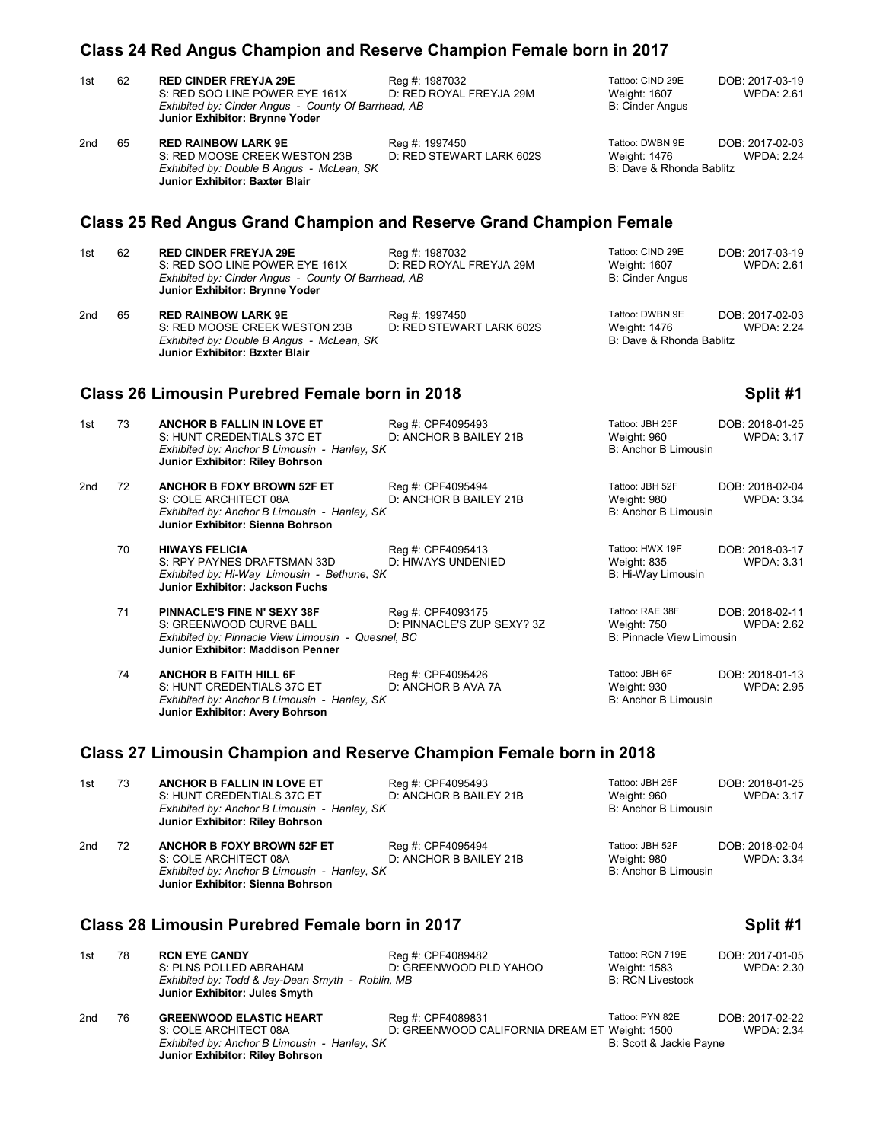|                |    | Class 24 Red Angus Champion and Reserve Champion Female born in 2017                                                                                    |                                                 |                                                                    |                                      |
|----------------|----|---------------------------------------------------------------------------------------------------------------------------------------------------------|-------------------------------------------------|--------------------------------------------------------------------|--------------------------------------|
| 1st            | 62 | <b>RED CINDER FREYJA 29E</b><br>S: RED SOO LINE POWER EYE 161X<br>Exhibited by: Cinder Angus - County Of Barrhead, AB<br>Junior Exhibitor: Brynne Yoder | Reg #: 1987032<br>D: RED ROYAL FREYJA 29M       | Tattoo: CIND 29E<br><b>Weight: 1607</b><br><b>B: Cinder Angus</b>  | DOB: 2017-03-19<br><b>WPDA: 2.61</b> |
| 2nd            | 65 | <b>RED RAINBOW LARK 9E</b><br>S: RED MOOSE CREEK WESTON 23B<br>Exhibited by: Double B Angus - McLean, SK<br><b>Junior Exhibitor: Baxter Blair</b>       | Reg #: 1997450<br>D: RED STEWART LARK 602S      | Tattoo: DWBN 9E<br>Weight: 1476<br>B: Dave & Rhonda Bablitz        | DOB: 2017-02-03<br><b>WPDA: 2.24</b> |
|                |    | <b>Class 25 Red Angus Grand Champion and Reserve Grand Champion Female</b>                                                                              |                                                 |                                                                    |                                      |
| 1st            | 62 | <b>RED CINDER FREYJA 29E</b><br>S: RED SOO LINE POWER EYE 161X<br>Exhibited by: Cinder Angus - County Of Barrhead, AB<br>Junior Exhibitor: Brynne Yoder | Reg #: 1987032<br>D: RED ROYAL FREYJA 29M       | Tattoo: CIND 29E<br><b>Weight: 1607</b><br><b>B: Cinder Angus</b>  | DOB: 2017-03-19<br><b>WPDA: 2.61</b> |
| 2nd            | 65 | <b>RED RAINBOW LARK 9E</b><br>S: RED MOOSE CREEK WESTON 23B<br>Exhibited by: Double B Angus - McLean, SK<br><b>Junior Exhibitor: Bzxter Blair</b>       | Reg #: 1997450<br>D: RED STEWART LARK 602S      | Tattoo: DWBN 9E<br><b>Weight: 1476</b><br>B: Dave & Rhonda Bablitz | DOB: 2017-02-03<br><b>WPDA: 2.24</b> |
|                |    | <b>Class 26 Limousin Purebred Female born in 2018</b>                                                                                                   |                                                 |                                                                    | Split #1                             |
| 1st            | 73 | <b>ANCHOR B FALLIN IN LOVE ET</b><br>S: HUNT CREDENTIALS 37C ET<br>Exhibited by: Anchor B Limousin - Hanley, SK<br>Junior Exhibitor: Riley Bohrson      | Reg #: CPF4095493<br>D: ANCHOR B BAILEY 21B     | Tattoo: JBH 25F<br>Weight: 960<br>B: Anchor B Limousin             | DOB: 2018-01-25<br><b>WPDA: 3.17</b> |
| 2nd            | 72 | <b>ANCHOR B FOXY BROWN 52F ET</b><br>S: COLE ARCHITECT 08A<br>Exhibited by: Anchor B Limousin - Hanley, SK<br>Junior Exhibitor: Sienna Bohrson          | Reg #: CPF4095494<br>D: ANCHOR B BAILEY 21B     | Tattoo: JBH 52F<br>Weight: 980<br>B: Anchor B Limousin             | DOB: 2018-02-04<br><b>WPDA: 3.34</b> |
|                | 70 | <b>HIWAYS FELICIA</b><br>S: RPY PAYNES DRAFTSMAN 33D<br>Exhibited by: Hi-Way Limousin - Bethune, SK<br>Junior Exhibitor: Jackson Fuchs                  | Reg #: CPF4095413<br>D: HIWAYS UNDENIED         | Tattoo: HWX 19F<br>Weight: 835<br>B: Hi-Way Limousin               | DOB: 2018-03-17<br><b>WPDA: 3.31</b> |
|                | 71 | PINNACLE'S FINE N' SEXY 38F<br>S: GREENWOOD CURVE BALL<br>Exhibited by: Pinnacle View Limousin - Quesnel, BC<br>Junior Exhibitor: Maddison Penner       | Reg #: CPF4093175<br>D: PINNACLE'S ZUP SEXY? 3Z | Tattoo: RAE 38F<br>Weight: 750<br>B: Pinnacle View Limousin        | DOB: 2018-02-11<br><b>WPDA: 2.62</b> |
|                | 74 | <b>ANCHOR B FAITH HILL 6F</b><br>S: HUNT CREDENTIALS 37C ET<br>Exhibited by: Anchor B Limousin - Hanley, SK<br>Junior Exhibitor: Avery Bohrson          | Reg #: CPF4095426<br>D: ANCHOR B AVA 7A         | Tattoo: JBH 6F<br>Weight: 930<br>B: Anchor B Limousin              | DOB: 2018-01-13<br><b>WPDA: 2.95</b> |
|                |    | Class 27 Limousin Champion and Reserve Champion Female born in 2018                                                                                     |                                                 |                                                                    |                                      |
| 1 <sub>0</sub> | 72 | ANCHOD D EALLIN IN LOVE ET                                                                                                                              | $D_{00}$ # $CDEAO0EAO2$                         | Tattoo: IRH 25F                                                    | DAD. 2019.01.25                      |

| 1st | 73 | ANCHOR B FALLIN IN LOVE ET<br>S: HUNT CREDENTIALS 37C ET<br>Exhibited by: Anchor B Limousin - Hanley, SK<br>Junior Exhibitor: Riley Bohrson    | Req #: CPF4095493<br>D: ANCHOR B BAILEY 21B | Tattoo: JBH 25F<br>Weight: 960<br>B: Anchor B Limousin | DOB: 2018-01-25<br><b>WPDA: 3.17</b> |
|-----|----|------------------------------------------------------------------------------------------------------------------------------------------------|---------------------------------------------|--------------------------------------------------------|--------------------------------------|
| 2nd | 72 | <b>ANCHOR B FOXY BROWN 52F ET</b><br>S: COLE ARCHITECT 08A<br>Exhibited by: Anchor B Limousin - Hanley, SK<br>Junior Exhibitor: Sienna Bohrson | Reg #: CPF4095494<br>D: ANCHOR B BAILEY 21B | Tattoo: JBH 52F<br>Weight: 980<br>B: Anchor B Limousin | DOB: 2018-02-04<br><b>WPDA: 3.34</b> |
|     |    | Class 28 Limousin Purebred Female born in 2017                                                                                                 |                                             |                                                        | Split #1                             |

### 1st 78 **RCN EYE CANDY** Reg #: CPF4089482 Tattoo: RCN 719E DOB: 2017-01-05<br>1st RCN S: PLINS POLLED ABRAHAM D: GREENWOOD PLD YAHOO Weight: 1583 WPDA: 2.30<br>1st RCN Livestock B: RCN Livestock B: RCN Livestock D: GREENWOOD PLD YAHOO *Exhibited by: Todd & Jay-Dean Smyth - Roblin, MB* **Junior Exhibitor: Jules Smyth** 2nd 76 **GREENWOOD ELASTIC HEART** Reg #: CPF4089831 Tattoo: PYN 82E DOB: 2017-02-22 S: COLE ARCHITECT 08A D: GREENWOOD CALIFORNIA DREAM ET Weight: 1500 WPDA: 2.34 **GREENWOOD ELASTIC HEART** Reg #: CPF4089831 Tattoo: PYN 82E D<br>S: COLE ARCHITECT 08A D: GREENWOOD CALIFORNIA DREAM ET Weight: 1500<br>Exhibited by: Anchor B Limousin - Hanley, SK B: Scott & Jackie Payne **Junior Exhibitor: Riley Bohrson**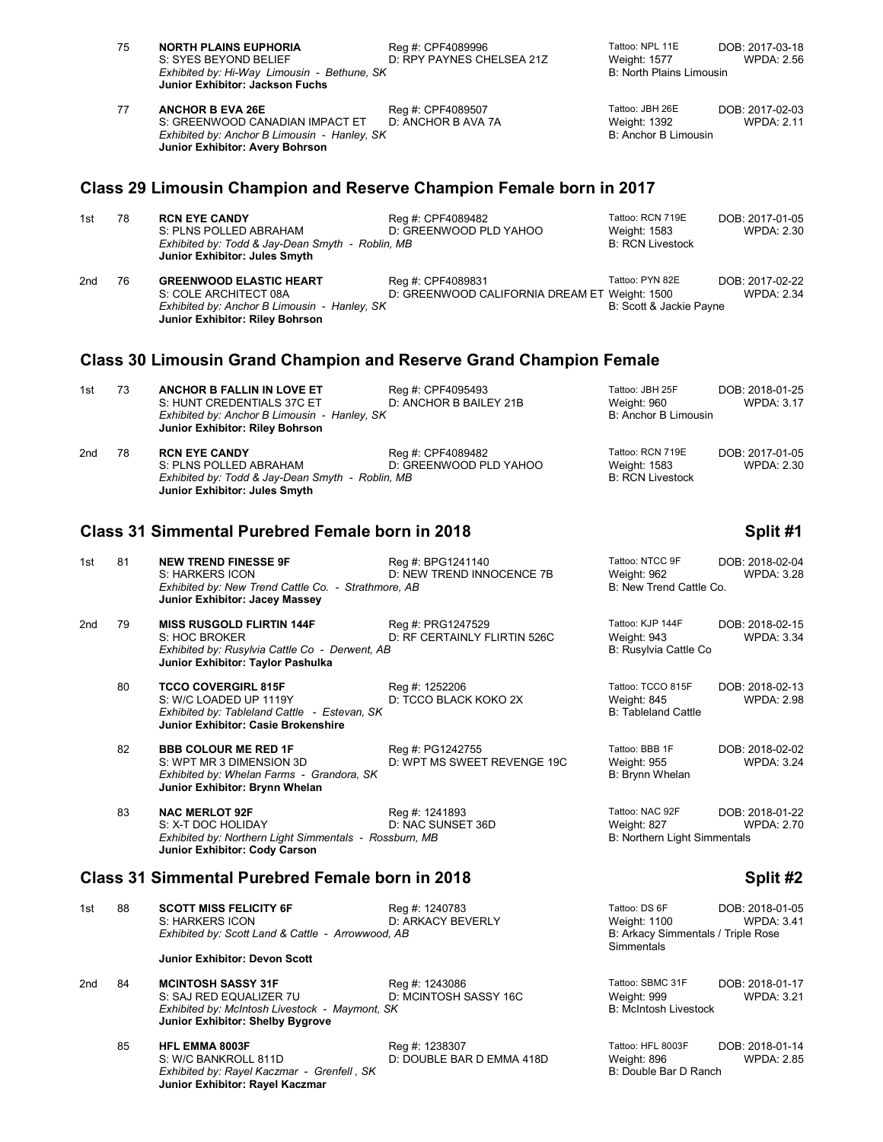|     | 75 | <b>NORTH PLAINS EUPHORIA</b><br>S: SYES BEYOND BELIEF<br>Exhibited by: Hi-Way Limousin - Bethune, SK<br>Junior Exhibitor: Jackson Fuchs            | Reg #: CPF4089996<br>D: RPY PAYNES CHELSEA 21Z                     | Tattoo: NPL 11E<br>Weight: 1577<br><b>B: North Plains Limousin</b>                | DOB: 2017-03-18<br><b>WPDA: 2.56</b> |
|-----|----|----------------------------------------------------------------------------------------------------------------------------------------------------|--------------------------------------------------------------------|-----------------------------------------------------------------------------------|--------------------------------------|
|     | 77 | <b>ANCHOR B EVA 26E</b><br>S: GREENWOOD CANADIAN IMPACT ET<br>Exhibited by: Anchor B Limousin - Hanley, SK<br>Junior Exhibitor: Avery Bohrson      | Reg #: CPF4089507<br>D: ANCHOR B AVA 7A                            | Tattoo: JBH 26E<br>Weight: 1392<br>B: Anchor B Limousin                           | DOB: 2017-02-03<br><b>WPDA: 2.11</b> |
|     |    | Class 29 Limousin Champion and Reserve Champion Female born in 2017                                                                                |                                                                    |                                                                                   |                                      |
| 1st | 78 | <b>RCN EYE CANDY</b><br>S: PLNS POLLED ABRAHAM<br>Exhibited by: Todd & Jay-Dean Smyth - Roblin, MB<br>Junior Exhibitor: Jules Smyth                | Reg #: CPF4089482<br>D: GREENWOOD PLD YAHOO                        | Tattoo: RCN 719E<br>Weight: 1583<br><b>B: RCN Livestock</b>                       | DOB: 2017-01-05<br><b>WPDA: 2.30</b> |
| 2nd | 76 | <b>GREENWOOD ELASTIC HEART</b><br>S: COLE ARCHITECT 08A<br>Exhibited by: Anchor B Limousin - Hanley, SK<br>Junior Exhibitor: Riley Bohrson         | Reg #: CPF4089831<br>D: GREENWOOD CALIFORNIA DREAM ET Weight: 1500 | Tattoo: PYN 82E<br>B: Scott & Jackie Payne                                        | DOB: 2017-02-22<br><b>WPDA: 2.34</b> |
|     |    | <b>Class 30 Limousin Grand Champion and Reserve Grand Champion Female</b>                                                                          |                                                                    |                                                                                   |                                      |
| 1st | 73 | <b>ANCHOR B FALLIN IN LOVE ET</b><br>S: HUNT CREDENTIALS 37C ET<br>Exhibited by: Anchor B Limousin - Hanley, SK<br>Junior Exhibitor: Riley Bohrson | Reg #: CPF4095493<br>D: ANCHOR B BAILEY 21B                        | Tattoo: JBH 25F<br>Weight: 960<br>B: Anchor B Limousin                            | DOB: 2018-01-25<br><b>WPDA: 3.17</b> |
| 2nd | 78 | <b>RCN EYE CANDY</b><br>S: PLNS POLLED ABRAHAM<br>Exhibited by: Todd & Jay-Dean Smyth - Roblin, MB<br>Junior Exhibitor: Jules Smyth                | Reg #: CPF4089482<br>D: GREENWOOD PLD YAHOO                        | Tattoo: RCN 719E<br>Weight: 1583<br><b>B: RCN Livestock</b>                       | DOB: 2017-01-05<br><b>WPDA: 2.30</b> |
|     |    | <b>Class 31 Simmental Purebred Female born in 2018</b>                                                                                             |                                                                    |                                                                                   | Split #1                             |
| 1st | 81 | <b>NEW TREND FINESSE 9F</b><br>S: HARKERS ICON<br>Exhibited by: New Trend Cattle Co. - Strathmore, AB<br>Junior Exhibitor: Jacey Massey            | Reg #: BPG1241140<br>D: NEW TREND INNOCENCE 7B                     | Tattoo: NTCC 9F<br>Weight: 962<br>B: New Trend Cattle Co.                         | DOB: 2018-02-04<br>WPDA: 3.28        |
| 2nd | 79 | <b>MISS RUSGOLD FLIRTIN 144F</b><br>S: HOC BROKER<br>Exhibited by: Rusylvia Cattle Co - Derwent, AB<br>Junior Exhibitor: Taylor Pashulka           | Reg #: PRG1247529<br>D: RF CERTAINLY FLIRTIN 526C                  | Tattoo: KJP 144F<br>Weight: 943<br>B: Rusylvia Cattle Co                          | DOB: 2018-02-15<br><b>WPDA: 3.34</b> |
|     | 80 | <b>TCCO COVERGIRL 815F</b><br>S: W/C LOADED UP 1119Y<br>Exhibited by: Tableland Cattle - Estevan, SK<br><b>Junior Exhibitor: Casie Brokenshire</b> | Reg #: 1252206<br>D: TCCO BLACK KOKO 2X                            | Tattoo: TCCO 815F<br>Weight: 845<br><b>B: Tableland Cattle</b>                    | DOB: 2018-02-13<br>WPDA: 2.98        |
|     | 82 | <b>BBB COLOUR ME RED 1F</b><br>S: WPT MR 3 DIMENSION 3D<br>Exhibited by: Whelan Farms - Grandora, SK<br>Junior Exhibitor: Brynn Whelan             | Reg #: PG1242755<br>D: WPT MS SWEET REVENGE 19C                    | Tattoo: BBB 1F<br>Weight: 955<br>B: Brynn Whelan                                  | DOB: 2018-02-02<br><b>WPDA: 3.24</b> |
|     | 83 | <b>NAC MERLOT 92F</b><br>S: X-T DOC HOLIDAY<br>Exhibited by: Northern Light Simmentals - Rossburn, MB<br>Junior Exhibitor: Cody Carson             | Reg #: 1241893<br>D: NAC SUNSET 36D                                | Tattoo: NAC 92F<br>Weight: 827<br><b>B: Northern Light Simmentals</b>             | DOB: 2018-01-22<br><b>WPDA: 2.70</b> |
|     |    | <b>Class 31 Simmental Purebred Female born in 2018</b>                                                                                             |                                                                    |                                                                                   | Split #2                             |
| 1st | 88 | <b>SCOTT MISS FELICITY 6F</b><br>S: HARKERS ICON<br>Exhibited by: Scott Land & Cattle - Arrowwood, AB                                              | Reg #: 1240783<br>D: ARKACY BEVERLY                                | Tattoo: DS 6F<br>Weight: 1100<br>B: Arkacy Simmentals / Triple Rose<br>Simmentals | DOB: 2018-01-05<br>WPDA: 3.41        |
|     |    | Junior Exhibitor: Devon Scott                                                                                                                      |                                                                    |                                                                                   |                                      |
| 2nd | 84 | <b>MCINTOSH SASSY 31F</b><br>S: SAJ RED EQUALIZER 7U<br>Exhibited by: McIntosh Livestock - Maymont, SK<br>Junior Exhibitor: Shelby Bygrove         | Reg #: 1243086<br>D: MCINTOSH SASSY 16C                            | Tattoo: SBMC 31F<br>Weight: 999<br><b>B: McIntosh Livestock</b>                   | DOB: 2018-01-17<br><b>WPDA: 3.21</b> |
|     | 85 | <b>HFL EMMA 8003F</b><br>S: W/C BANKROLL 811D<br>Exhibited by: Rayel Kaczmar - Grenfell, SK<br>Junior Exhibitor: Rayel Kaczmar                     | Reg #: 1238307<br>D: DOUBLE BAR D EMMA 418D                        | Tattoo: HFL 8003F<br>Weight: 896<br>B: Double Bar D Ranch                         | DOB: 2018-01-14<br><b>WPDA: 2.85</b> |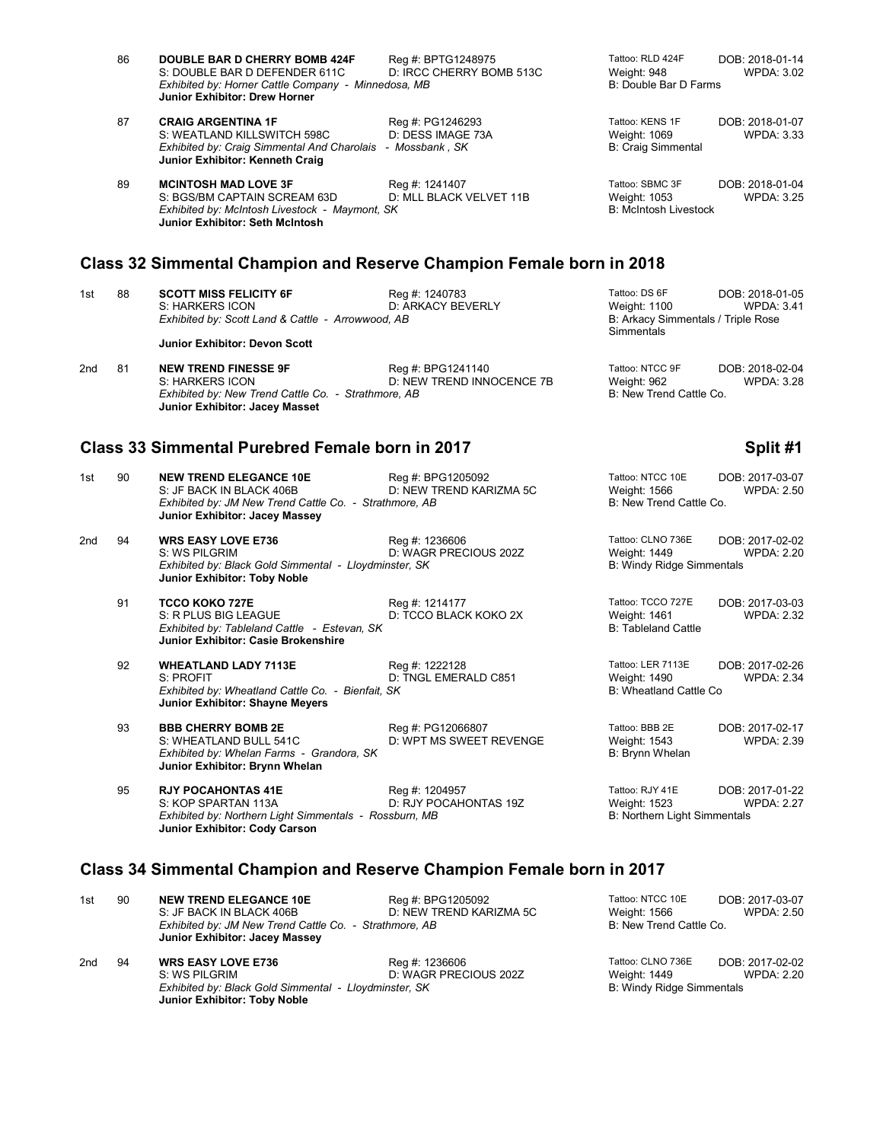|     | 86 | <b>DOUBLE BAR D CHERRY BOMB 424F</b><br>S: DOUBLE BAR D DEFENDER 611C<br>Exhibited by: Horner Cattle Company - Minnedosa, MB<br>Junior Exhibitor: Drew Horner | Reg #: BPTG1248975<br>D: IRCC CHERRY BOMB 513C | Tattoo: RLD 424F<br>DOB: 2018-01-14<br>Weight: 948<br><b>WPDA: 3.02</b><br>B: Double Bar D Farms                                 |  |
|-----|----|---------------------------------------------------------------------------------------------------------------------------------------------------------------|------------------------------------------------|----------------------------------------------------------------------------------------------------------------------------------|--|
|     | 87 | <b>CRAIG ARGENTINA 1F</b><br>S: WEATLAND KILLSWITCH 598C<br>Exhibited by: Craig Simmental And Charolais - Mossbank, SK<br>Junior Exhibitor: Kenneth Craig     | Reg #: PG1246293<br>D: DESS IMAGE 73A          | Tattoo: KENS 1F<br>DOB: 2018-01-07<br>Weight: 1069<br><b>WPDA: 3.33</b><br><b>B: Craig Simmental</b>                             |  |
|     | 89 | <b>MCINTOSH MAD LOVE 3F</b><br>S: BGS/BM CAPTAIN SCREAM 63D<br>Exhibited by: McIntosh Livestock - Maymont, SK<br>Junior Exhibitor: Seth McIntosh              | Reg #: 1241407<br>D: MLL BLACK VELVET 11B      | Tattoo: SBMC 3F<br>DOB: 2018-01-04<br>Weight: 1053<br><b>WPDA: 3.25</b><br><b>B: McIntosh Livestock</b>                          |  |
|     |    | Class 32 Simmental Champion and Reserve Champion Female born in 2018                                                                                          |                                                |                                                                                                                                  |  |
| 1st | 88 | <b>SCOTT MISS FELICITY 6F</b><br>S: HARKERS ICON<br>Exhibited by: Scott Land & Cattle - Arrowwood, AB                                                         | Reg #: 1240783<br>D: ARKACY BEVERLY            | Tattoo: DS 6F<br>DOB: 2018-01-05<br><b>Weight: 1100</b><br><b>WPDA: 3.41</b><br>B: Arkacy Simmentals / Triple Rose<br>Simmentals |  |
|     |    | <b>Junior Exhibitor: Devon Scott</b>                                                                                                                          |                                                |                                                                                                                                  |  |
| 2nd | 81 | <b>NEW TREND FINESSE 9F</b><br>S: HARKERS ICON<br>Exhibited by: New Trend Cattle Co. - Strathmore, AB<br>Junior Exhibitor: Jacey Masset                       | Reg #: BPG1241140<br>D: NEW TREND INNOCENCE 7B | Tattoo: NTCC 9F<br>DOB: 2018-02-04<br>Weight: 962<br><b>WPDA: 3.28</b><br>B: New Trend Cattle Co.                                |  |
|     |    | <b>Class 33 Simmental Purebred Female born in 2017</b>                                                                                                        |                                                | Split #1                                                                                                                         |  |
| 1st | 90 | <b>NEW TREND ELEGANCE 10E</b><br>S: JF BACK IN BLACK 406B<br>Exhibited by: JM New Trend Cattle Co. - Strathmore, AB<br>Junior Exhibitor: Jacey Massey         | Reg #: BPG1205092<br>D: NEW TREND KARIZMA 5C   | Tattoo: NTCC 10E<br>DOB: 2017-03-07<br>Weight: 1566<br><b>WPDA: 2.50</b><br>B: New Trend Cattle Co.                              |  |
| 2nd | 94 | <b>WRS EASY LOVE E736</b><br>S: WS PILGRIM<br>Exhibited by: Black Gold Simmental - Lloydminster, SK<br>Junior Exhibitor: Toby Noble                           | Reg #: 1236606<br>D: WAGR PRECIOUS 202Z        | Tattoo: CLNO 736E<br>DOB: 2017-02-02<br>Weight: 1449<br><b>WPDA: 2.20</b><br><b>B: Windy Ridge Simmentals</b>                    |  |
|     | 91 | <b>TCCO KOKO 727E</b><br>S: R PLUS BIG LEAGUE<br>Exhibited by: Tableland Cattle - Estevan, SK<br>Junior Exhibitor: Casie Brokenshire                          | Reg #: 1214177<br>D: TCCO BLACK KOKO 2X        | Tattoo: TCCO 727E<br>DOB: 2017-03-03<br>Weight: 1461<br><b>WPDA: 2.32</b><br><b>B: Tableland Cattle</b>                          |  |
|     | 92 | <b>WHEATLAND LADY 7113E</b><br>S: PROFIT<br>Exhibited by: Wheatland Cattle Co. - Bienfait, SK<br>Junior Exhibitor: Shayne Meyers                              | Reg #: 1222128<br>D: TNGL EMERALD C851         | Tattoo: LER 7113E<br>DOB: 2017-02-26<br>Weight: 1490<br><b>WPDA: 2.34</b><br>B: Wheatland Cattle Co                              |  |
|     | 93 | <b>BBB CHERRY BOMB 2E</b><br>S: WHEATLAND BULL 541C<br>Exhibited by: Whelan Farms - Grandora, SK<br>Junior Exhibitor: Brynn Whelan                            | Reg #: PG12066807<br>D: WPT MS SWEET REVENGE   | Tattoo: BBB 2E<br>DOB: 2017-02-17<br>Weight: 1543<br><b>WPDA: 2.39</b><br>B: Brynn Whelan                                        |  |
|     | 95 | <b>RJY POCAHONTAS 41E</b><br>S: KOP SPARTAN 113A<br>Exhibited by: Northern Light Simmentals - Rossburn, MB<br><b>Junior Exhibitor: Cody Carson</b>            | Reg #: 1204957<br>D: RJY POCAHONTAS 19Z        | Tattoo: RJY 41E<br>DOB: 2017-01-22<br>Weight: 1523<br><b>WPDA: 2.27</b><br><b>B: Northern Light Simmentals</b>                   |  |

## **Class 34 Simmental Champion and Reserve Champion Female born in 2017**

**Junior Exhibitor: Toby Noble**

| 1st | 90 | <b>NEW TREND ELEGANCE 10E</b><br>S: JF BACK IN BLACK 406B<br>Exhibited by: JM New Trend Cattle Co. - Strathmore, AB<br>Junior Exhibitor: Jacey Massey | Reg #: BPG1205092<br>D: NEW TREND KARIZMA 5C | Tattoo: NTCC 10E<br>Weight: 1566<br>B: New Trend Cattle Co.    | DOB: 2017-03-07<br><b>WPDA: 2.50</b> |
|-----|----|-------------------------------------------------------------------------------------------------------------------------------------------------------|----------------------------------------------|----------------------------------------------------------------|--------------------------------------|
| 2nd | 94 | <b>WRS EASY LOVE E736</b><br>S: WS PILGRIM<br>Exhibited by: Black Gold Simmental - Lloydminster, SK                                                   | Reg #: 1236606<br>D: WAGR PRECIOUS 202Z      | Tattoo: CLNO 736E<br>Weight: 1449<br>B: Windy Ridge Simmentals | DOB: 2017-02-02<br>WPDA: 2.20        |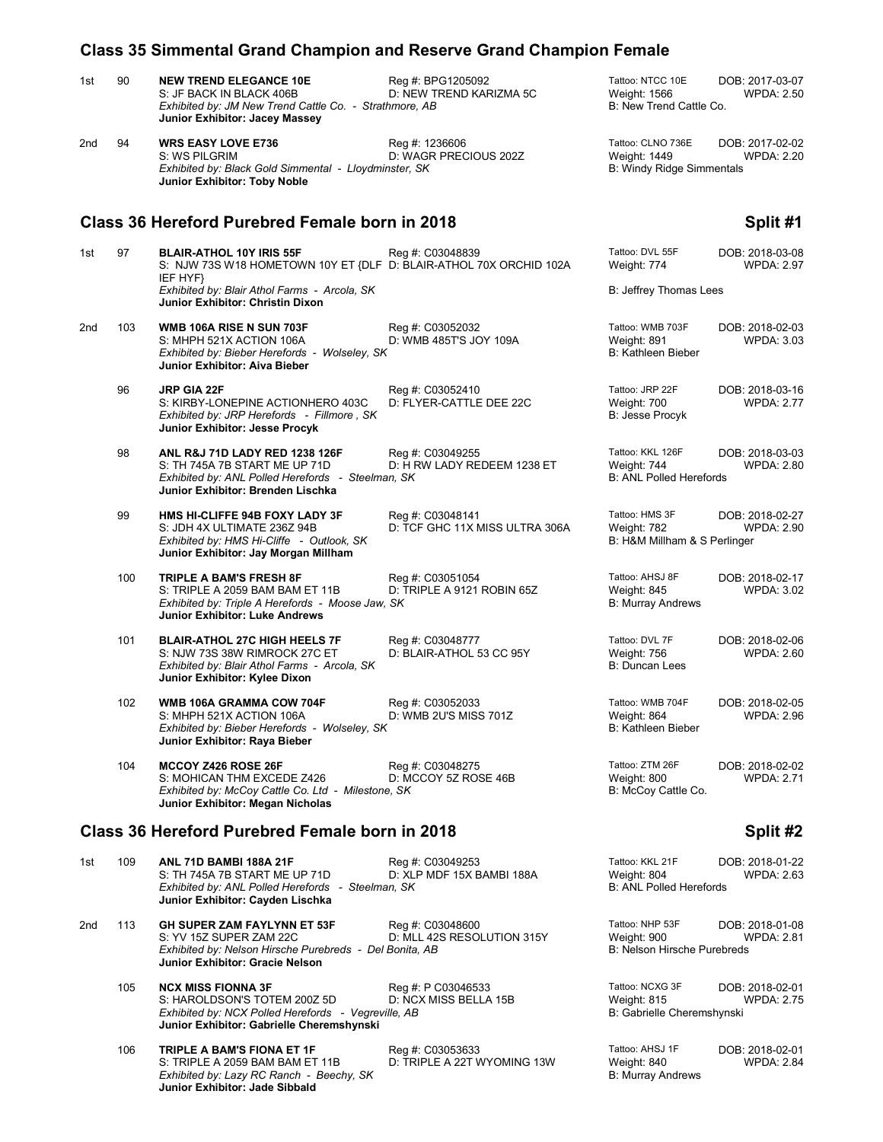### 1st 90 **NEW TREND ELEGANCE 10E** Reg #: BPG1205092 Tattoo: NTCC 10E DOB: 2017-03-07<br>S: JF BACK IN BLACK 406B D: NEW TREND KARIZMA 5C Weight: 1566 WPDA: 2.50 D: NEW TREND KARIZMA 5C Weight: 1566<br>http://black. ABC More B: New Trend Cattle Co. *Exhibited by: JM New Trend Cattle Co. - Strathmore, AB*  **Junior Exhibitor: Jacey Massey** 2nd 94 **WRS EASY LOVE E736** Reg #: 1236606 Reg = Tattoo: CLNO 736E DOB: 2017-02-02<br>2012 .S: WS PILGRIM STOREN DE WAGR PRECIOUS 202Z Weight: 1449 WPDA: 2.20 D: WAGR PRECIOUS 202Z<br>
Ster, SK Bisser, SK Windy Ridge Simmentals **Exhibited by: Black Gold Simmental - Lloydminster, SK Junior Exhibitor: Toby Noble Class 36 Hereford Purebred Female born in 2018 Split #1** 1st 97 **BLAIR-ATHOL 10Y IRIS 55F** Reg #: C03048839 Tattoo: DVL 55F DOB: 2018-03-08 S: NJW 73S W18 HOMETOWN 10Y ET {DLF D: BLAIR-ATHOL 70X ORCHID 102A Weight: 774 WPDA: 2.97 IEF HYF} *Exhibited by: Blair Athol Farms - Arcola, SK* B: Jeffrey Thomas Lees **Junior Exhibitor: Christin Dixon** 2nd 103 **WMB 106A RISE N SUN 703F** Reg #: C03052032 Tattoo: WMB 703F DOB: 2018-02-03 S: MHPH 521X ACTION 106A D: WMB 485T'S JOY 109A Weight: 891 Weight: 891 Weight: 891 B: Kathleen Bieber *Exhibited by: Bieber Herefords - Wolseley, SK* **Junior Exhibitor: Aiva Bieber** 96 **JRP GIA 22F DOB: 2018-03-16** Reg #: C03052410 **Tattoo: JRP 22F** DOB: 2018-03-16<br>S: KIRBY-LONEPINE ACTIONHERO 403C D: FLYER-CATTLE DEE 22C Weight: 700 WPDA: 2.77 S: KIRBY-LONEPINE ACTIONHERO 403C D: FLYER-CATTLE DEE 22C Weight: 700<br>Exhibited by: JRP Herefords - Fillmore . SK *Exhibited by: JRP Herefords - Fillmore , SK* **Junior Exhibitor: Jesse Procyk** 98 **ANL R&J 71D LADY RED 1238 126F** Reg #: C03049255 Tattoo: KKL 126F DOB: 2018-03-03 S: TH 745A 7B START ME UP 71D D: H RW LADY REDEEM 1238 ET Weight: 744<br>Exhibited by: ANL Polled Herefords - Steelman, SK B: ANL Polled Herefords **Exhibited by: ANL Polled Herefords - Steelman, SK Junior Exhibitor: Brenden Lischka** 99 **HMS HI-CLIFFE 94B FOXY LADY 3F** Reg #: C03048141 **Tattoo: HMS 3F** DOB: 2018-02-27<br>S: JDH 4X ULTIMATE 236Z 94B D: TCF GHC 11X MISS ULTRA 306A Weight: 782 WPDA: 2.90 S: JDH 4X ULTIMATE 236Z 94B D: TCF GHC 11X MISS ULTRA 306A Weight: 782 WPDA: 2.90<br>Exhibited by: HMS Hi-Cliffe - Outlook, SK BCF GHC 11X MISS ULTRA 306A B: H&M Millham & S Perlinger *Exhibited by: HMS Hi-Cliffe - Outlook, SK* **Junior Exhibitor: Jay Morgan Millham** 100 **TRIPLE A BAM'S FRESH 8F** Reg #: C03051054 Tattoo: AHSJ 8F DOB: 2018-02-17<br>S: TRIPLE A 2059 BAM BAM ET 11B D: TRIPLE A 9121 ROBIN 65Z Weight: 845 WPDA: 3.02 S: TRIPLE A 2059 BAM BAM ET 11B D: TRIPLE A 9121 ROBIN 65Z Weight: 845<br>
Exhibited by: Triple A Herefords - Moose Jaw, SK B: Murray Andrews **Exhibited by: Triple A Herefords - Moose Jaw, SK Junior Exhibitor: Luke Andrews** 101 **BLAIR-ATHOL 27C HIGH HEELS 7F** Reg #: C03048777 **Tattoo: DVL 7F** DOB: 2018-02-06<br>S: NJW 73S 38W RIMROCK 27C ET D: BLAIR-ATHOL 53 CC 95Y Weight: 756 WPDA: 2.60 S: NJW 73S 38W RIMROCK 27C ET BLAIR-ATHOL 53 CC 95Y Weight: 756 Weight: 756 WPDA: 2.60<br>Exhibited by: Blair Athol Farms - Arcola, SK *Exhibited by: Blair Athol Farms - Arcola, SK* **Junior Exhibitor: Kylee Dixon** 102 **WMB 106A GRAMMA COW 704F** Reg #: C03052033 Tattoo: WMB 704F DOB: 2018-02-05<br>S: MHPH 521X ACTION 106A D: WMB 2U'S MISS 701Z Weight: 864 WPDA: 2.96 S: MHPH 521X ACTION 106A D: WMB 2U'S MISS 701Z Weight: 864 WPDA: 2.96 *Exhibited by: Bieber Herefords - Wolseley, SK* **Junior Exhibitor: Raya Bieber** 104 **MCCOY Z426 ROSE 26F** Reg #: C03048275 Tattoo: ZTM 26F DOB: 2018-02-02<br>S: MOHICAN THM EXCEDE Z426 D: MCCOY 5Z ROSE 46B Weight: 800 WPDA: 2.71 S: MOHICAN THM EXCEDE Z426 D: MCCOY 5Z ROSE 46B Weight: 800<br>
Exhibited by: McCoy Cattle Co. Ltd - Milestone, SK B: NeCoy Cattle Co. *Exhibited by: McCoy Cattle Co. Ltd - Milestone, SK* **Junior Exhibitor: Megan Nicholas Class 36 Hereford Purebred Female born in 2018 Split #2** Split #2 1st 109 **ANL 71D BAMBI 188A 21F** Reg #: C03049253 Tattoo: KKL 21F DOB: 2018-01-22<br>S: TH 745A 7B START ME UP 71D D: XLP MDF 15X BAMBI 188A Weight: 804 WPDA: 2.63 S: TH 745A 7B START ME UP 71D D: XLP MDF 15X BAMBI 188A Weight: 804<br>
Exhibited by: ANL Polled Herefords - Steelman, SK B: ANL Polled Herefords **Exhibited by: ANL Polled Herefords - Steelman, SK Junior Exhibitor: Cayden Lischka** 2nd 113 **GH SUPER ZAM FAYLYNN ET 53F** Reg #: C03048600 Tattoo: NHP 53F DOB: 2018-01-08<br>S: YV 15Z SUPER ZAM 22C D: MLL 42S RESOLUTION 315Y Weight: 900 WPDA: 2.81 D: MLL 42S RESOLUTION 315Y Weight: 900 Weight: 2.52 Weight: 2.000 WPD WAG DISCOLUTION 315Y WEIGHT: 2.8121 WED *Exhibited by: Nelson Hirsche Purebreds - Del Bonita, AB* **Junior Exhibitor: Gracie Nelson** 105 **NCX MISS FIONNA 3F** Reg #: P C03046533 Tattoo: NCXG 3F DOB: 2018-02-01<br>S: HAROLDSON'S TOTEM 200Z 5D D: NCX MISS BELLA 15B Weight: 815 WPDA: 2.75 S: HAROLDSON'S TOTEM 200Z 5D D: NCX MISS BELLA 15B Weight: 815<br>
Exhibited by: NCX Polled Herefords - Vegreville, AB BELLA 15B B: Gabrielle Cheremshynski *Exhibited by: NCX Polled Herefords - Vegreville, AB* **Junior Exhibitor: Gabrielle Cheremshynski** 106 **TRIPLE A BAM'S FIONA ET 1F** Reg #: C03053633 Tattoo: AHSJ 1F DOB: 2018-02-01<br>S: TRIPLE A 2059 BAM BAM ET 11B D: TRIPLE A 22T WYOMING 13W Weight: 840 WPDA: 2.84 S: TRIPLE A 2059 BAM BAM ET 11B D: TRIPLE A 22T WYOMING 13W Weight: 840<br>Exhibited by: Lazy RC Ranch - Beechy, SK *Exhibited by: Lazy RC Ranch - Beechy, SK* **Junior Exhibitor: Jade Sibbald**

**Class 35 Simmental Grand Champion and Reserve Grand Champion Female**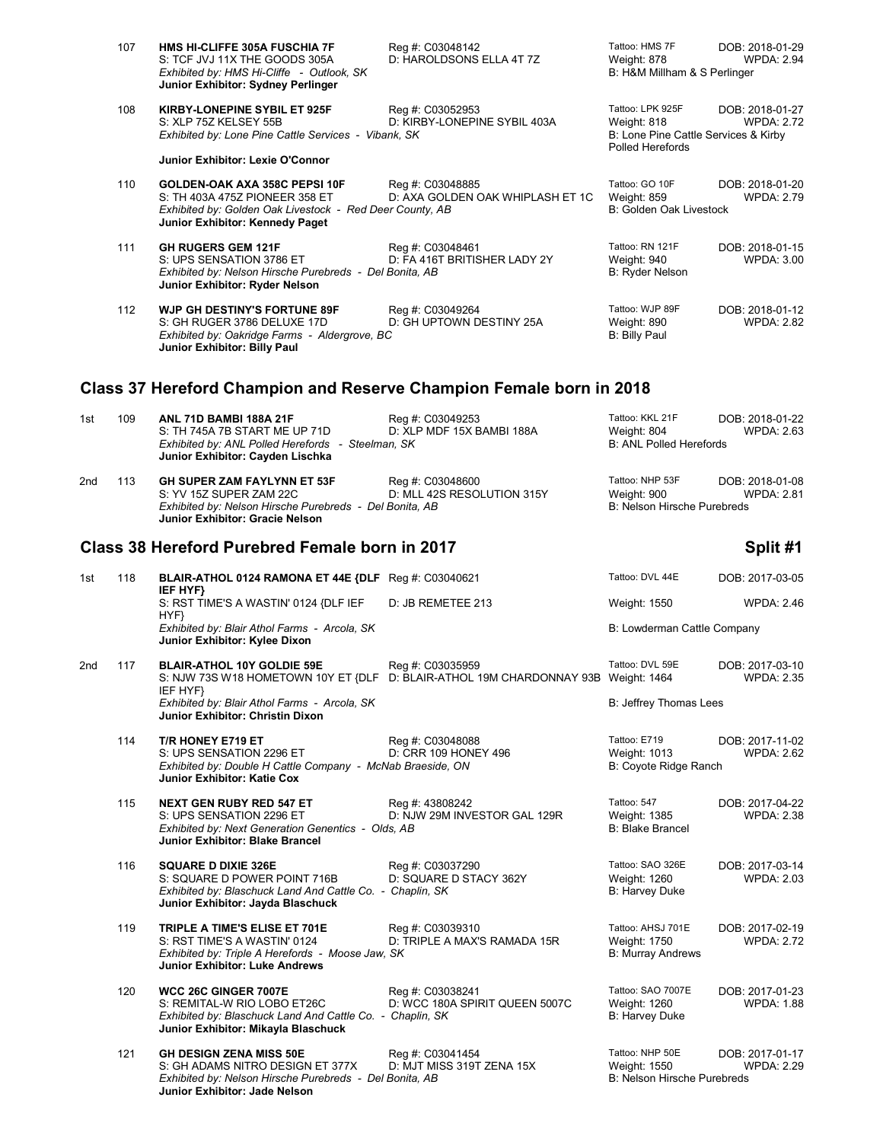| 107 | HMS HI-CLIFFE 305A FUSCHIA 7F<br>S: TCF JVJ 11X THE GOODS 305A<br>Exhibited by: HMS Hi-Cliffe - Outlook, SK<br>Junior Exhibitor: Sydney Perlinger              | Reg #: C03048142<br>D: HAROLDSONS ELLA 4T 7Z         | Tattoo: HMS 7F<br>Weight: 878<br>B: H&M Millham & S Perlinger                               | DOB: 2018-01-29<br>WPDA: 2.94        |
|-----|----------------------------------------------------------------------------------------------------------------------------------------------------------------|------------------------------------------------------|---------------------------------------------------------------------------------------------|--------------------------------------|
| 108 | KIRBY-LONEPINE SYBIL ET 925F<br>S: XLP 75Z KELSEY 55B<br>Exhibited by: Lone Pine Cattle Services - Vibank, SK<br>Junior Exhibitor: Lexie O'Connor              | Reg #: C03052953<br>D: KIRBY-LONEPINE SYBIL 403A     | Tattoo: LPK 925F<br>Weight: 818<br>B: Lone Pine Cattle Services & Kirby<br>Polled Herefords | DOB: 2018-01-27<br><b>WPDA: 2.72</b> |
| 110 | GOLDEN-OAK AXA 358C PEPSI 10F<br>S: TH 403A 475Z PIONEER 358 ET<br>Exhibited by: Golden Oak Livestock - Red Deer County, AB<br>Junior Exhibitor: Kennedy Paget | Reg #: C03048885<br>D: AXA GOLDEN OAK WHIPLASH ET 1C | Tattoo: GO 10F<br>Weight: 859<br>B: Golden Oak Livestock                                    | DOB: 2018-01-20<br><b>WPDA: 2.79</b> |
| 111 | <b>GH RUGERS GEM 121F</b><br>S: UPS SENSATION 3786 ET<br>Exhibited by: Nelson Hirsche Purebreds - Del Bonita, AB<br>Junior Exhibitor: Ryder Nelson             | Reg #: C03048461<br>D: FA 416T BRITISHER LADY 2Y     | Tattoo: RN 121F<br>Weight: 940<br>B: Ryder Nelson                                           | DOB: 2018-01-15<br><b>WPDA: 3.00</b> |
| 112 | <b>WJP GH DESTINY'S FORTUNE 89F</b><br>S: GH RUGER 3786 DELUXE 17D<br>Exhibited by: Oakridge Farms - Aldergrove, BC<br>Junior Exhibitor: Billy Paul            | Reg #: C03049264<br>D: GH UPTOWN DESTINY 25A         | Tattoo: WJP 89F<br>Weight: 890<br>B: Billy Paul                                             | DOB: 2018-01-12<br><b>WPDA: 2.82</b> |

## **Class 37 Hereford Champion and Reserve Champion Female born in 2018**

| 1st             | 109 | <b>ANL 71D BAMBI 188A 21F</b><br>S: TH 745A 7B START ME UP 71D<br>Exhibited by: ANL Polled Herefords - Steelman, SK<br>Junior Exhibitor: Cayden Lischka        | Reg #: C03049253<br>D: XLP MDF 15X BAMBI 188A      | Tattoo: KKL 21F<br>Weight: 804<br><b>B: ANL Polled Herefords</b>      | DOB: 2018-01-22<br><b>WPDA: 2.63</b> |
|-----------------|-----|----------------------------------------------------------------------------------------------------------------------------------------------------------------|----------------------------------------------------|-----------------------------------------------------------------------|--------------------------------------|
| 2 <sub>nd</sub> | 113 | GH SUPER ZAM FAYLYNN ET 53F<br>S: YV 15Z SUPER ZAM 22C<br>Exhibited by: Nelson Hirsche Purebreds - Del Bonita, AB<br><b>Junior Exhibitor: Gracie Nelson</b>    | Reg #: C03048600<br>D: MLL 42S RESOLUTION 315Y     | Tattoo: NHP 53F<br>Weight: 900<br>B: Nelson Hirsche Purebreds         | DOB: 2018-01-08<br><b>WPDA: 2.81</b> |
|                 |     | Class 38 Hereford Purebred Female born in 2017                                                                                                                 |                                                    |                                                                       | Split #1                             |
| 1st             | 118 | BLAIR-ATHOL 0124 RAMONA ET 44E {DLF Reg #: C03040621<br>IEF HYF}                                                                                               |                                                    | Tattoo: DVL 44E                                                       | DOB: 2017-03-05                      |
|                 |     | S: RST TIME'S A WASTIN' 0124 {DLF IEF<br>HYF}                                                                                                                  | D: JB REMETEE 213                                  | Weight: 1550                                                          | <b>WPDA: 2.46</b>                    |
|                 |     | Exhibited by: Blair Athol Farms - Arcola, SK<br>Junior Exhibitor: Kylee Dixon                                                                                  |                                                    | B: Lowderman Cattle Company                                           |                                      |
| 2 <sub>nd</sub> | 117 | <b>BLAIR-ATHOL 10Y GOLDIE 59E</b><br>S: NJW 73S W18 HOMETOWN 10Y ET {DLF D: BLAIR-ATHOL 19M CHARDONNAY 93B Weight: 1464<br>IEF HYF}                            | Reg #: C03035959                                   | Tattoo: DVL 59E                                                       | DOB: 2017-03-10<br><b>WPDA: 2.35</b> |
|                 |     | Exhibited by: Blair Athol Farms - Arcola, SK<br>Junior Exhibitor: Christin Dixon                                                                               |                                                    | B: Jeffrey Thomas Lees                                                |                                      |
|                 | 114 | T/R HONEY E719 ET<br>S: UPS SENSATION 2296 ET<br>Exhibited by: Double H Cattle Company - McNab Braeside, ON<br>Junior Exhibitor: Katie Cox                     | Reg #: C03048088<br>D: CRR 109 HONEY 496           | Tattoo: E719<br>Weight: 1013<br>B: Coyote Ridge Ranch                 | DOB: 2017-11-02<br><b>WPDA: 2.62</b> |
|                 | 115 | <b>NEXT GEN RUBY RED 547 ET</b><br>S: UPS SENSATION 2296 ET<br>Exhibited by: Next Generation Genentics - Olds, AB<br><b>Junior Exhibitor: Blake Brancel</b>    | Reg #: 43808242<br>D: NJW 29M INVESTOR GAL 129R    | Tattoo: 547<br>Weight: 1385<br><b>B: Blake Brancel</b>                | DOB: 2017-04-22<br><b>WPDA: 2.38</b> |
|                 | 116 | <b>SQUARE D DIXIE 326E</b><br>S: SQUARE D POWER POINT 716B<br>Exhibited by: Blaschuck Land And Cattle Co. - Chaplin, SK<br>Junior Exhibitor: Jayda Blaschuck   | Reg #: C03037290<br>D: SQUARE D STACY 362Y         | Tattoo: SAO 326E<br>Weight: 1260<br>B: Harvey Duke                    | DOB: 2017-03-14<br><b>WPDA: 2.03</b> |
|                 | 119 | TRIPLE A TIME'S ELISE ET 701E<br>S: RST TIME'S A WASTIN' 0124<br>Exhibited by: Triple A Herefords - Moose Jaw, SK<br>Junior Exhibitor: Luke Andrews            | Reg #: C03039310<br>D: TRIPLE A MAX'S RAMADA 15R   | Tattoo: AHSJ 701E<br>Weight: 1750<br><b>B: Murray Andrews</b>         | DOB: 2017-02-19<br><b>WPDA: 2.72</b> |
|                 | 120 | WCC 26C GINGER 7007E<br>S: REMITAL-W RIO LOBO ET26C<br>Exhibited by: Blaschuck Land And Cattle Co. - Chaplin, SK<br>Junior Exhibitor: Mikayla Blaschuck        | Reg #: C03038241<br>D: WCC 180A SPIRIT QUEEN 5007C | Tattoo: SAO 7007E<br>Weight: 1260<br><b>B: Harvey Duke</b>            | DOB: 2017-01-23<br><b>WPDA: 1.88</b> |
|                 | 121 | <b>GH DESIGN ZENA MISS 50E</b><br>S: GH ADAMS NITRO DESIGN ET 377X<br>Exhibited by: Nelson Hirsche Purebreds - Del Bonita, AB<br>Junior Exhibitor: Jade Nelson | Reg #: C03041454<br>D: MJT MISS 319T ZENA 15X      | Tattoo: NHP 50E<br>Weight: 1550<br><b>B: Nelson Hirsche Purebreds</b> | DOB: 2017-01-17<br><b>WPDA: 2.29</b> |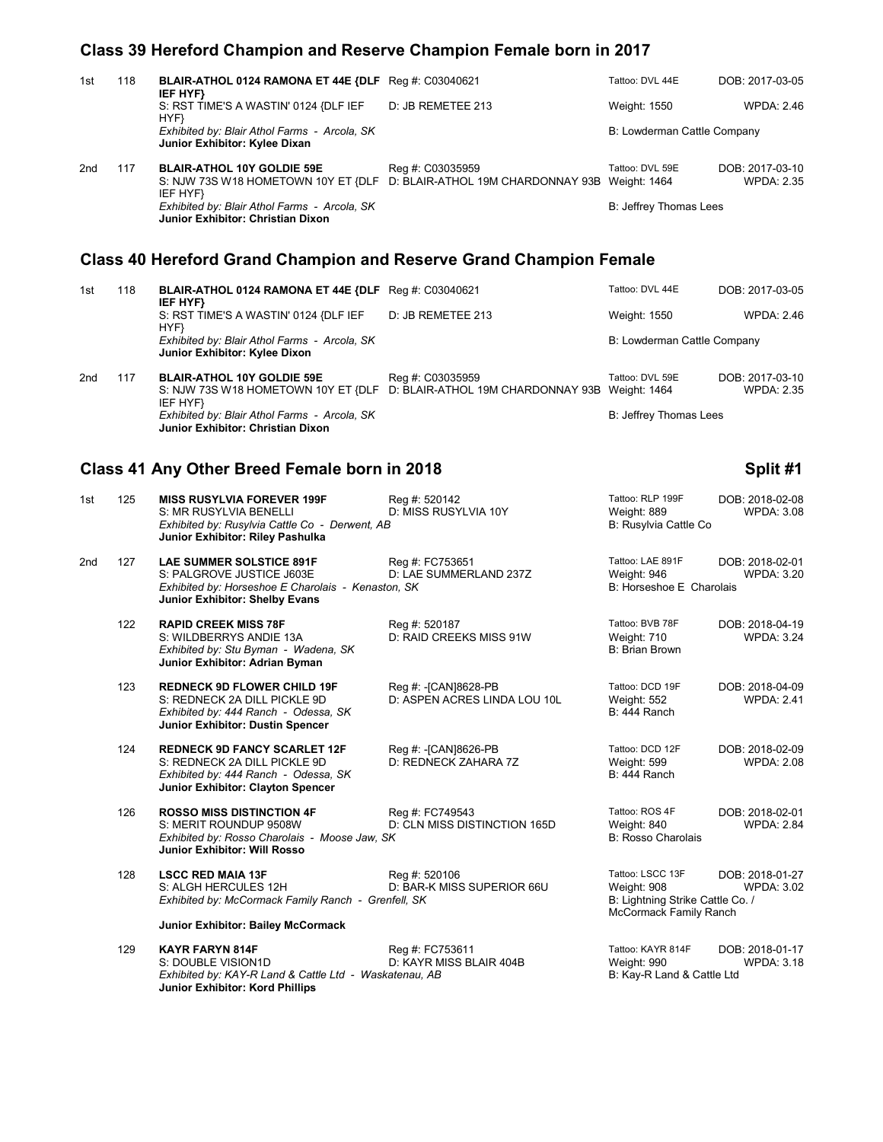## **Class 39 Hereford Champion and Reserve Champion Female born in 2017**

| 1st | 118 | BLAIR-ATHOL 0124 RAMONA ET 44E {DLF Reg #: C03040621<br>IEF HYF}                                                                                     |                                                      | Tattoo: DVL 44E                                                                               | DOB: 2017-03-05                      |
|-----|-----|------------------------------------------------------------------------------------------------------------------------------------------------------|------------------------------------------------------|-----------------------------------------------------------------------------------------------|--------------------------------------|
|     |     | S: RST TIME'S A WASTIN' 0124 {DLF IEF<br>HYF}                                                                                                        | D: JB REMETEE 213                                    | Weight: 1550                                                                                  | <b>WPDA: 2.46</b>                    |
|     |     | Exhibited by: Blair Athol Farms - Arcola, SK<br>Junior Exhibitor: Kylee Dixan                                                                        |                                                      | B: Lowderman Cattle Company                                                                   |                                      |
| 2nd | 117 | <b>BLAIR-ATHOL 10Y GOLDIE 59E</b><br>S: NJW 73S W18 HOMETOWN 10Y ET {DLF D: BLAIR-ATHOL 19M CHARDONNAY 93B Weight: 1464<br>IEF HYF}                  | Reg #: C03035959                                     | Tattoo: DVL 59E                                                                               | DOB: 2017-03-10<br><b>WPDA: 2.35</b> |
|     |     | Exhibited by: Blair Athol Farms - Arcola, SK<br>Junior Exhibitor: Christian Dixon                                                                    |                                                      | B: Jeffrey Thomas Lees                                                                        |                                      |
|     |     | <b>Class 40 Hereford Grand Champion and Reserve Grand Champion Female</b>                                                                            |                                                      |                                                                                               |                                      |
| 1st | 118 | BLAIR-ATHOL 0124 RAMONA ET 44E {DLF Reg #: C03040621                                                                                                 |                                                      | Tattoo: DVL 44E                                                                               | DOB: 2017-03-05                      |
|     |     | IEF HYF}<br>S: RST TIME'S A WASTIN' 0124 {DLF IEF                                                                                                    | D: JB REMETEE 213                                    | Weight: 1550                                                                                  | <b>WPDA: 2.46</b>                    |
|     |     | HYF}<br>Exhibited by: Blair Athol Farms - Arcola, SK<br>Junior Exhibitor: Kylee Dixon                                                                |                                                      | B: Lowderman Cattle Company                                                                   |                                      |
| 2nd | 117 | <b>BLAIR-ATHOL 10Y GOLDIE 59E</b><br>S: NJW 73S W18 HOMETOWN 10Y ET {DLF D: BLAIR-ATHOL 19M CHARDONNAY 93B Weight: 1464                              | Reg #: C03035959                                     | Tattoo: DVL 59E                                                                               | DOB: 2017-03-10<br><b>WPDA: 2.35</b> |
|     |     | IEF HYF}<br>Exhibited by: Blair Athol Farms - Arcola, SK<br>Junior Exhibitor: Christian Dixon                                                        |                                                      | B: Jeffrey Thomas Lees                                                                        |                                      |
|     |     | Class 41 Any Other Breed Female born in 2018                                                                                                         |                                                      |                                                                                               | Split #1                             |
| 1st | 125 | <b>MISS RUSYLVIA FOREVER 199F</b><br>S: MR RUSYLVIA BENELLI<br>Exhibited by: Rusylvia Cattle Co - Derwent, AB<br>Junior Exhibitor: Riley Pashulka    | Reg #: 520142<br>D: MISS RUSYLVIA 10Y                | Tattoo: RLP 199F<br>Weight: 889<br>B: Rusylvia Cattle Co                                      | DOB: 2018-02-08<br><b>WPDA: 3.08</b> |
| 2nd | 127 | <b>LAE SUMMER SOLSTICE 891F</b><br>S: PALGROVE JUSTICE J603E<br>Exhibited by: Horseshoe E Charolais - Kenaston, SK<br>Junior Exhibitor: Shelby Evans | Reg #: FC753651<br>D: LAE SUMMERLAND 237Z            | Tattoo: LAE 891F<br>Weight: 946<br>B: Horseshoe E Charolais                                   | DOB: 2018-02-01<br><b>WPDA: 3.20</b> |
|     | 122 | <b>RAPID CREEK MISS 78F</b><br>S: WILDBERRYS ANDIE 13A<br>Exhibited by: Stu Byman - Wadena, SK<br>Junior Exhibitor: Adrian Byman                     | Reg #: 520187<br>D: RAID CREEKS MISS 91W             | Tattoo: BVB 78F<br>Weight: 710<br>B: Brian Brown                                              | DOB: 2018-04-19<br><b>WPDA: 3.24</b> |
|     | 123 | <b>REDNECK 9D FLOWER CHILD 19F</b><br>S: REDNECK 2A DILL PICKLE 9D<br>Exhibited by: 444 Ranch - Odessa, SK<br>Junior Exhibitor: Dustin Spencer       | Reg #: -[CAN]8628-PB<br>D: ASPEN ACRES LINDA LOU 10L | Tattoo: DCD 19F<br>Weight: 552<br>B: 444 Ranch                                                | DOB: 2018-04-09<br><b>WPDA: 2.41</b> |
|     | 124 | <b>REDNECK 9D FANCY SCARLET 12F</b><br>S: REDNECK 2A DILL PICKLE 9D<br>Exhibited by: 444 Ranch - Odessa, SK<br>Junior Exhibitor: Clayton Spencer     | Reg #: - [CAN]8626-PB<br>D: REDNECK ZAHARA 7Z        | Tattoo: DCD 12F<br>Weight: 599<br>B: 444 Ranch                                                | DOB: 2018-02-09<br><b>WPDA: 2.08</b> |
|     | 126 | <b>ROSSO MISS DISTINCTION 4F</b><br>S: MERIT ROUNDUP 9508W<br>Exhibited by: Rosso Charolais - Moose Jaw, SK<br>Junior Exhibitor: Will Rosso          | Reg #: FC749543<br>D: CLN MISS DISTINCTION 165D      | Tattoo: ROS 4F<br>Weight: 840<br><b>B: Rosso Charolais</b>                                    | DOB: 2018-02-01<br><b>WPDA: 2.84</b> |
|     | 128 | <b>LSCC RED MAIA 13F</b><br>S: ALGH HERCULES 12H<br>Exhibited by: McCormack Family Ranch - Grenfell, SK<br>Junior Exhibitor: Bailey McCormack        | Reg #: 520106<br>D: BAR-K MISS SUPERIOR 66U          | Tattoo: LSCC 13F<br>Weight: 908<br>B: Lightning Strike Cattle Co. /<br>McCormack Family Ranch | DOB: 2018-01-27<br><b>WPDA: 3.02</b> |
|     | 129 | <b>KAYR FARYN 814F</b>                                                                                                                               | Reg #: FC753611                                      | Tattoo: KAYR 814F                                                                             | DOB: 2018-01-17                      |
|     |     | S: DOUBLE VISION1D<br>Exhibited by: KAY-R Land & Cattle Ltd - Waskatenau, AB<br>Junior Exhibitor: Kord Phillips                                      | D: KAYR MISS BLAIR 404B                              | Weight: 990<br>B: Kay-R Land & Cattle Ltd                                                     | <b>WPDA: 3.18</b>                    |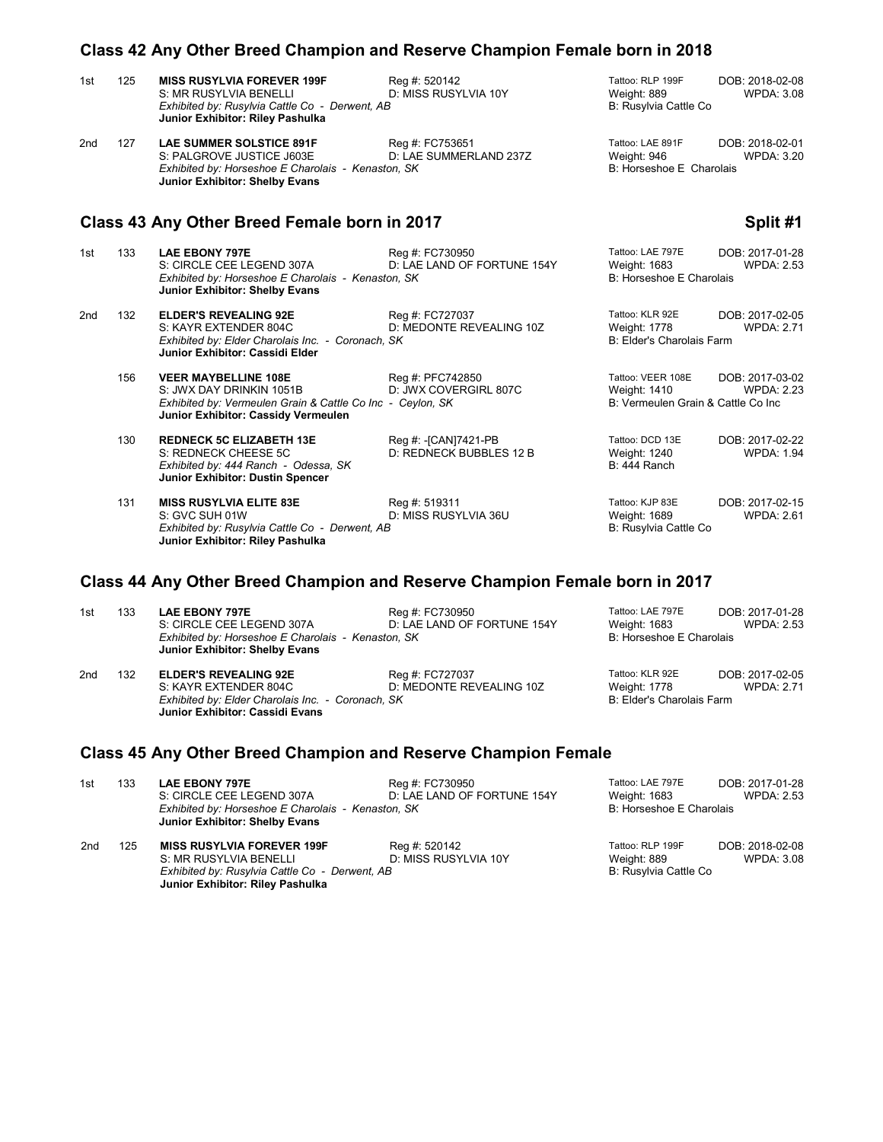|     | Class 42 Any Other Breed Champion and Reserve Champion Female born in 2018 |                                                                                                                                                             |                                                |                                                                     |                                      |  |  |  |
|-----|----------------------------------------------------------------------------|-------------------------------------------------------------------------------------------------------------------------------------------------------------|------------------------------------------------|---------------------------------------------------------------------|--------------------------------------|--|--|--|
| 1st | 125                                                                        | <b>MISS RUSYLVIA FOREVER 199F</b><br>S: MR RUSYLVIA BENELLI<br>Exhibited by: Rusylvia Cattle Co - Derwent, AB<br>Junior Exhibitor: Riley Pashulka           | Reg #: 520142<br>D: MISS RUSYLVIA 10Y          | Tattoo: RLP 199F<br>Weight: 889<br>B: Rusylvia Cattle Co            | DOB: 2018-02-08<br><b>WPDA: 3.08</b> |  |  |  |
| 2nd | 127                                                                        | <b>LAE SUMMER SOLSTICE 891F</b><br>S: PALGROVE JUSTICE J603E<br>Exhibited by: Horseshoe E Charolais - Kenaston, SK<br><b>Junior Exhibitor: Shelby Evans</b> | Reg #: FC753651<br>D: LAE SUMMERLAND 237Z      | Tattoo: LAE 891F<br>Weight: 946<br>B: Horseshoe E Charolais         | DOB: 2018-02-01<br><b>WPDA: 3.20</b> |  |  |  |
|     |                                                                            | Class 43 Any Other Breed Female born in 2017                                                                                                                |                                                |                                                                     | Split #1                             |  |  |  |
| 1st | 133                                                                        | <b>LAE EBONY 797E</b><br>S: CIRCLE CEE LEGEND 307A<br>Exhibited by: Horseshoe E Charolais - Kenaston, SK<br><b>Junior Exhibitor: Shelby Evans</b>           | Reg #: FC730950<br>D: LAE LAND OF FORTUNE 154Y | Tattoo: LAE 797E<br>Weight: 1683<br>B: Horseshoe E Charolais        | DOB: 2017-01-28<br><b>WPDA: 2.53</b> |  |  |  |
| 2nd | 132                                                                        | <b>ELDER'S REVEALING 92E</b><br>S: KAYR EXTENDER 804C<br>Exhibited by: Elder Charolais Inc. - Coronach, SK                                                  | Reg #: FC727037<br>D: MEDONTE REVEALING 10Z    | Tattoo: KLR 92E<br><b>Weight: 1778</b><br>B: Elder's Charolais Farm | DOB: 2017-02-05<br><b>WPDA: 2.71</b> |  |  |  |

| 156 | <b>VEER MAYBELLINE 108E</b><br>S: JWX DAY DRINKIN 1051B<br>Exhibited by: Vermeulen Grain & Cattle Co Inc - Ceylon, SK<br>Junior Exhibitor: Cassidy Vermeulen | Reg #: PFC742850<br>D: JWX COVERGIRL 807C       | Tattoo: VEER 108E<br>Weight: 1410<br>B: Vermeulen Grain & Cattle Co Inc | DOB: 2017-03-02<br><b>WPDA: 2.23</b> |
|-----|--------------------------------------------------------------------------------------------------------------------------------------------------------------|-------------------------------------------------|-------------------------------------------------------------------------|--------------------------------------|
| 130 | <b>REDNECK 5C ELIZABETH 13E</b><br>S: REDNECK CHEESE 5C<br>Exhibited by: 444 Ranch - Odessa, SK<br>Junior Exhibitor: Dustin Spencer                          | Reg #: -[CAN]7421-PB<br>D: REDNECK BUBBLES 12 B | Tattoo: DCD 13E<br>Weight: 1240<br><b>B: 444 Ranch</b>                  | DOB: 2017-02-22<br><b>WPDA: 1.94</b> |
| 131 | <b>MISS RUSYLVIA ELITE 83E</b><br>S: GVC SUH 01W<br>Exhibited by: Rusylvia Cattle Co - Derwent, AB<br>Junior Exhibitor: Riley Pashulka                       | Reg #: 519311<br>D: MISS RUSYLVIA 36U           | Tattoo: KJP 83E<br>Weight: 1689<br>B: Rusylvia Cattle Co                | DOB: 2017-02-15<br><b>WPDA: 2.61</b> |

## **Class 44 Any Other Breed Champion and Reserve Champion Female born in 2017**

| 1st | 133 | <b>LAE EBONY 797E</b><br>S: CIRCLE CEE LEGEND 307A<br>Exhibited by: Horseshoe E Charolais - Kenaston, SK<br>Junior Exhibitor: Shelby Evans    | Reg #: FC730950<br>D: LAE LAND OF FORTUNE 154Y | Tattoo: LAE 797E<br>Weight: 1683<br>B: Horseshoe E Charolais | DOB: 2017-01-28<br><b>WPDA: 2.53</b> |
|-----|-----|-----------------------------------------------------------------------------------------------------------------------------------------------|------------------------------------------------|--------------------------------------------------------------|--------------------------------------|
| 2nd | 132 | <b>ELDER'S REVEALING 92E</b><br>S: KAYR EXTENDER 804C<br>Exhibited by: Elder Charolais Inc. - Coronach, SK<br>Junior Exhibitor: Cassidi Evans | Reg #: FC727037<br>D: MEDONTE REVEALING 10Z    | Tattoo: KLR 92E<br>Weight: 1778<br>B: Elder's Charolais Farm | DOB: 2017-02-05<br><b>WPDA: 2.71</b> |

## **Class 45 Any Other Breed Champion and Reserve Champion Female**

**Junior Exhibitor: Cassidi Elder**

| 1st | 133 | <b>LAE EBONY 797E</b><br>S: CIRCLE CEE LEGEND 307A<br>Exhibited by: Horseshoe E Charolais - Kenaston, SK<br>Junior Exhibitor: Shelby Evans        | Reg #: FC730950<br>D: LAE LAND OF FORTUNE 154Y | Tattoo: LAE 797E<br>Weight: 1683<br>B: Horseshoe E Charolais | DOB: 2017-01-28<br><b>WPDA: 2.53</b> |
|-----|-----|---------------------------------------------------------------------------------------------------------------------------------------------------|------------------------------------------------|--------------------------------------------------------------|--------------------------------------|
| 2nd | 125 | <b>MISS RUSYLVIA FOREVER 199F</b><br>S: MR RUSYLVIA BENELLI<br>Exhibited by: Rusylvia Cattle Co - Derwent, AB<br>Junior Exhibitor: Riley Pashulka | Reg #: 520142<br>D: MISS RUSYLVIA 10Y          | Tattoo: RLP 199F<br>Weight: 889<br>B: Rusylvia Cattle Co     | DOB: 2018-02-08<br>WPDA: 3.08        |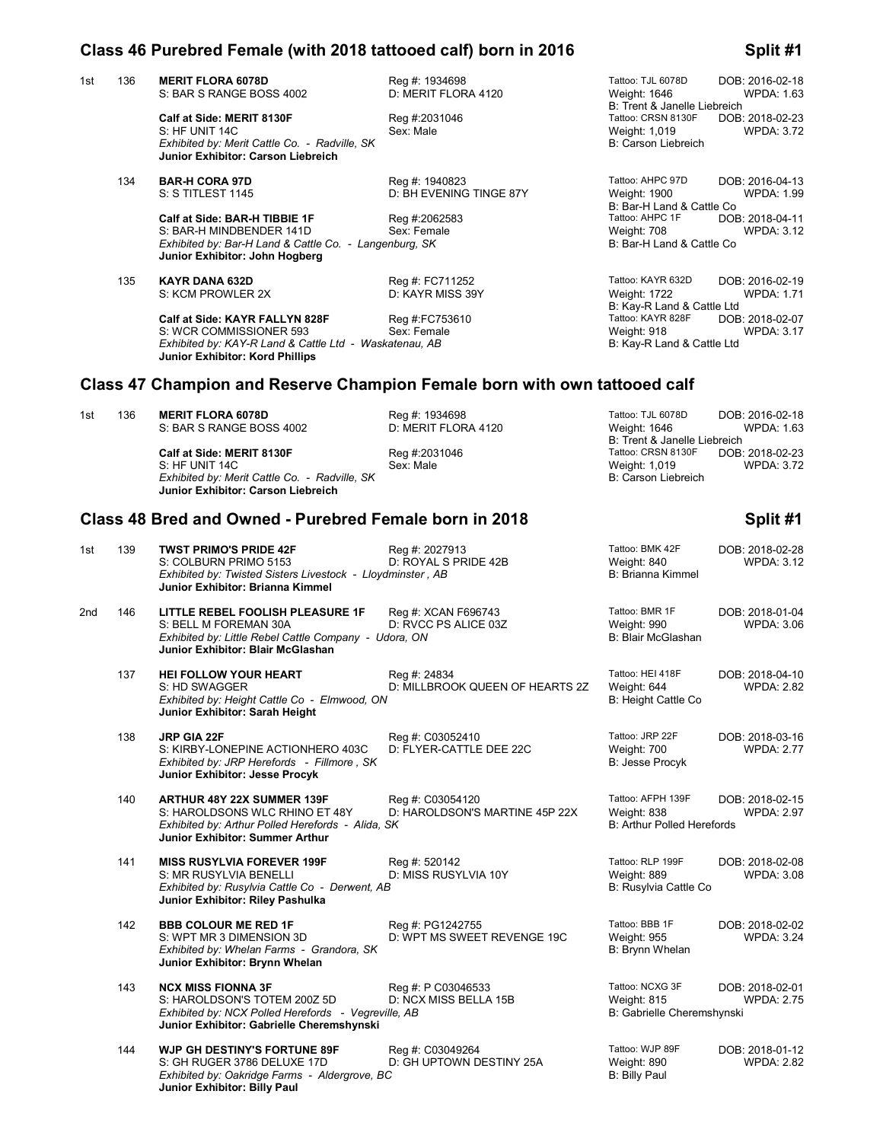### **Class 46 Purebred Female (with 2018 tattooed calf) born in 2016 Split #1**

1st 136 **MERIT FLORA 6078D Reg #: 1934698** Tattoo: TJL 6078D **DOB: 2016-02-18**<br>S: BAR S RANGE BOSS 4002 **D: MERIT FLORA 4120** Weight: 1646 WPDA: 1.63 S: BAR S RANGE BOSS 4002

> **Calf at Side: MERIT 8130F** Reg #:2031046 Tattoo: CRSN 8130F DOB: 2018-02-23<br>S: HF UNIT 14C WEDA: 3.72 S: HF UNIT 14C Sex: Male Weight: 1,019 WPDA: 3.72 **Exhibited by: Merit Cattle Co. - Radville, SK B: Carson Liebreich B: Carson Liebreich Junior Exhibitor: Carson Liebreich**

134 **BAR-H CORA 97D** Reg #: 1940823 Tattoo: AHPC 97D DOB: 2016-04-13

**Calf at Side: BAR-H TIBBIE 1F** Reg #:2062583 Tattoo: AHPC 1F DOB: 2018-04-11<br>S: BAR-H MINDBENDER 141D Sex: Female Weight: 708 WPDA: 3.12 S: BAR-H MINDBENDER 141D Sex: Female Sextern Municipal State of Meight: 708<br>
S: Bar-H Land & Cattle Co. - Langenburg: SK Charle State Co. 3.122.122.12 B: Bar-H Land & Cattle Co *Exhibited by: Bar-H Land & Cattle Co. - Langenburg, SK* **Junior Exhibitor: John Hogberg**

 135 **KAYR DANA 632D** Reg #: FC711252 Tattoo: KAYR 632D DOB: 2016-02-19 S: KCM PROWLER 2X

**Calf at Side: KAYR FALLYN 828F** Reg #:FC753610 Tattoo: KAYR 828F DOB: 2018-02-07<br>S: WCR COMMISSIONER 593 Sex: Female Sexternal Sexternal Register Register 218 Weight: 918 WPDA: 3.17 S: WCR COMMISSIONER 593 Sex: Female Sextern Mediation of the USS Weight: 918<br>Stribited by: KAY-R Land & Cattle Ltd - Waskatenau, AB Stribushing B: Kay-R Land & Cattle Ltd *Exhibited by: KAY-R Land & Cattle Ltd - Waskatenau, AB* **Junior Exhibitor: Kord Phillips**

B: Trent & Janelle Liebreich<br>Tattoo: CRSN 8130F DOB: 2018-02-23

 S: S TITLEST 1145 D: BH EVENING TINGE 87Y Weight: 1900 WPDA: 1.99 B: Bar-H Land & Cattle Co<br>Tattoo: AHPC 1F DOI

B: Kay-R Land & Cattle Ltd<br>Reg #:FC753610 Tattoo: KAYR 828F DOB: 2018-02-07

## **Class 47 Champion and Reserve Champion Female born with own tattooed calf**

| 1st | 136 | <b>MERIT FLORA 6078D</b>                      | Reg #: 1934698      | Tattoo: TJL 6078D            | DOB: 2016-02-18 |
|-----|-----|-----------------------------------------------|---------------------|------------------------------|-----------------|
|     |     | S: BAR S RANGE BOSS 4002                      | D: MERIT FLORA 4120 | Weight: 1646                 | WPDA: 1.63      |
|     |     |                                               |                     | B: Trent & Janelle Liebreich |                 |
|     |     | Calf at Side: MERIT 8130F                     | Reg #:2031046       | Tattoo: CRSN 8130F           | DOB: 2018-02-23 |
|     |     | S: HF UNIT 14C                                | Sex: Male           | Weight: 1,019                | WPDA: 3.72      |
|     |     | Exhibited by: Merit Cattle Co. - Radville, SK |                     | B: Carson Liebreich          |                 |
|     |     | Junior Exhibitor: Carson Liebreich            |                     |                              |                 |

## **Class 48 Bred and Owned - Purebred Female born in 2018 Split #1**

1st 139 **TWST PRIMO'S PRIDE 42F** Reg #: 2027913 Tattoo: BMK 42F DOB: 2018-02-28<br>1.12 S: COLBURN PRIMO 5153 D: ROYAL S PRIDE 42B Weight: 840 WPDA: 3.12 D: ROYAL S PRIDE 42B Weight: 840<br>
Iminster . AB Weight: 815 B: Brianna Kimmel *Exhibited by: Twisted Sisters Livestock - Lloydminster, AB* **Junior Exhibitor: Brianna Kimmel** 2nd 146 **LITTLE REBEL FOOLISH PLEASURE 1F** Reg #: XCAN F696743 Tattoo: BMR 1F DOB: 2018-01-04 D: RVCC PS ALICE 03Z Weight: 990<br>
S: Blair McGlashan B: Blair McGlashan *Exhibited by: Little Rebel Cattle Company - Udora, ON* **Junior Exhibitor: Blair McGlashan** 137 **HEI FOLLOW YOUR HEART** Reg #: 24834 Tattoo: HEI 418F DOB: 2018-04-10<br>2.82 S: HD SWAGGER D: MILLBROOK QUEEN OF HEARTS 2Z Weight: 644 WPDA: 2.82 D: MILLBROOK QUEEN OF HEARTS 2Z Weight: 644<br>B: Height Cattle Co *Exhibited by: Height Cattle Co - Elmwood, ON*  **Junior Exhibitor: Sarah Height** 138 **JRP GIA 22F CO3052410** Reg #: C03052410 **Tattoo: JRP 22F DOB: 2018-03-16 S: KIRBY-LONEPINE ACTIONHERO 403C D: FLYER-CATTLE DEE 22C Weight: 700 WPDA: 2.77** S: KIRBY-LONEPINE ACTIONHERO 403C D: FLYER-CATTLE DEE 22C Weight: 700<br>Exhibited by: JRP Herefords - Fillmore . SK *Exhibited by: JRP Herefords - Fillmore , SK* **Junior Exhibitor: Jesse Procyk** 140 **ARTHUR 48Y 22X SUMMER 139F** Reg #: C03054120 Tattoo: AFPH 139F DOB: 2018-02-15<br>S: HAROLDSONS WLC RHINO ET 48Y D: HAROLDSON'S MARTINE 45P 22X Weight: 838 WPDA: 2.97 D: HAROLDSON'S MARTINE 45P 22X Weight: 838<br>SK B: Arthur Polled Herefords **Exhibited by: Arthur Polled Herefords - Alida, SK Junior Exhibitor: Summer Arthur** 141 **MISS RUSYLVIA FOREVER 199F** Reg #: 520142 Tattoo: RLP 199F DOB: 2018-02-08<br>S: MR RUSYLVIA BENELLI D: MISS RUSYLVIA 10Y Weight: 889 WPDA: 3.08 S: MR RUSYLVIA BENELLI D: MISS RUSYLVIA 10Y Weight: 889 WPDA: 3.08 **Exhibited by: Rusylvia Cattle Co - Derwent, AB Junior Exhibitor: Riley Pashulka** 142 **BBB COLOUR ME RED 1F** Reg #: PG1242755 **Tattoo: BBB 1F** DOB: 2018-02-02<br>12. S: WPT MR 3 DIMENSION 3D D: WPT MS SWEET REVENGE 19C Weight: 955 WPDA: 3.24 D: WPT MS SWEET REVENGE 19C Weight: 955<br>B: Brynn Whelan **Exhibited by: Whelan Farms - Grandora, SK Junior Exhibitor: Brynn Whelan** 143 **NCX MISS FIONNA 3F** Reg #: P C03046533 Tattoo: NCXG 3F DOB: 2018-02-01<br>S: HAROLDSON'S TOTEM 200Z 5D D: NCX MISS BELLA 15B Weight: 815 WPDA: 2.75 S: HAROLDSON'S TOTEM 200Z 5D D: NCX MISS BELLA 15B Weight: 815<br>
Exhibited by: NCX Polled Herefords - Vegreville, AB D: 2.55 B: Gabrielle Cheremshynski *Exhibited by: NCX Polled Herefords - Vegreville, AB* **Junior Exhibitor: Gabrielle Cheremshynski** 144 **WJP GH DESTINY'S FORTUNE 89F** Reg #: C03049264 Tattoo: WJP 89F DOB: 2018-01-12<br>S: GH RUGER 3786 DELUXE 17D D: GH UPTOWN DESTINY 25A Weight: 890 WPDA: 2.82 S: GH RUGER 3786 DELUXE 17D D: GH UPTOWN DESTINY 25A Weight: 890<br>Exhibited by: Oakridge Farms - Aldergrove, BC *Exhibited by: Oakridge Farms - Aldergrove, BC* **Junior Exhibitor: Billy Paul**